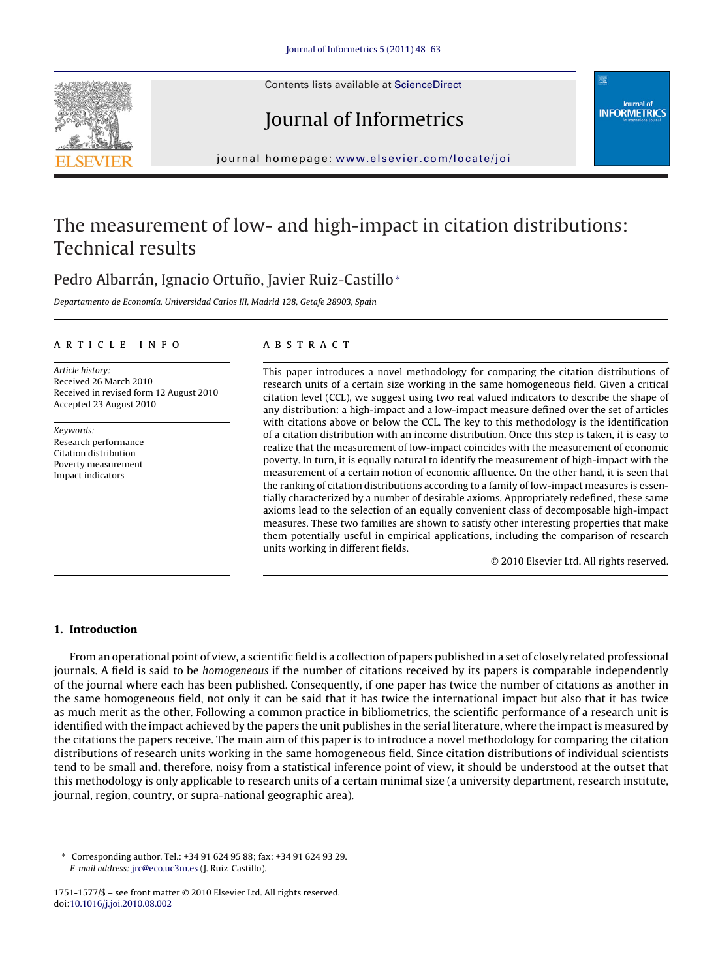Contents lists available at [ScienceDirect](http://www.sciencedirect.com/science/journal/17511577)

<span id="page-0-0"></span>

Journal of Informetrics



journal homepage: [www.elsevier.com/locate/joi](http://www.elsevier.com/locate/joi)

# The measurement of low- and high-impact in citation distributions: Technical results

# Pedro Albarrán, Ignacio Ortuño, Javier Ruiz-Castillo\*

Departamento de Economía, Universidad Carlos III, Madrid 128, Getafe 28903, Spain

# article info

Article history: Received 26 March 2010 Received in revised form 12 August 2010 Accepted 23 August 2010

Keywords: Research performance Citation distribution Poverty measurement Impact indicators

# abstract

This paper introduces a novel methodology for comparing the citation distributions of research units of a certain size working in the same homogeneous field. Given a critical citation level (CCL), we suggest using two real valued indicators to describe the shape of any distribution: a high-impact and a low-impact measure defined over the set of articles with citations above or below the CCL. The key to this methodology is the identification of a citation distribution with an income distribution. Once this step is taken, it is easy to realize that the measurement of low-impact coincides with the measurement of economic poverty. In turn, it is equally natural to identify the measurement of high-impact with the measurement of a certain notion of economic affluence. On the other hand, it is seen that the ranking of citation distributions according to a family of low-impact measures is essentially characterized by a number of desirable axioms. Appropriately redefined, these same axioms lead to the selection of an equally convenient class of decomposable high-impact measures. These two families are shown to satisfy other interesting properties that make them potentially useful in empirical applications, including the comparison of research units working in different fields.

© 2010 Elsevier Ltd. All rights reserved.

# **1. Introduction**

From an operational point of view, a scientific field is a collection of papers published in a set of closely related professional journals. A field is said to be homogeneous if the number of citations received by its papers is comparable independently of the journal where each has been published. Consequently, if one paper has twice the number of citations as another in the same homogeneous field, not only it can be said that it has twice the international impact but also that it has twice as much merit as the other. Following a common practice in bibliometrics, the scientific performance of a research unit is identified with the impact achieved by the papers the unit publishes in the serial literature, where the impact is measured by the citations the papers receive. The main aim of this paper is to introduce a novel methodology for comparing the citation distributions of research units working in the same homogeneous field. Since citation distributions of individual scientists tend to be small and, therefore, noisy from a statistical inference point of view, it should be understood at the outset that this methodology is only applicable to research units of a certain minimal size (a university department, research institute, journal, region, country, or supra-national geographic area).

<sup>∗</sup> Corresponding author. Tel.: +34 91 624 95 88; fax: +34 91 624 93 29. E-mail address: [jrc@eco.uc3m.es](mailto:jrc@eco.uc3m.es) (J. Ruiz-Castillo).

<sup>1751-1577/\$ –</sup> see front matter © 2010 Elsevier Ltd. All rights reserved. doi:[10.1016/j.joi.2010.08.002](dx.doi.org/10.1016/j.joi.2010.08.002)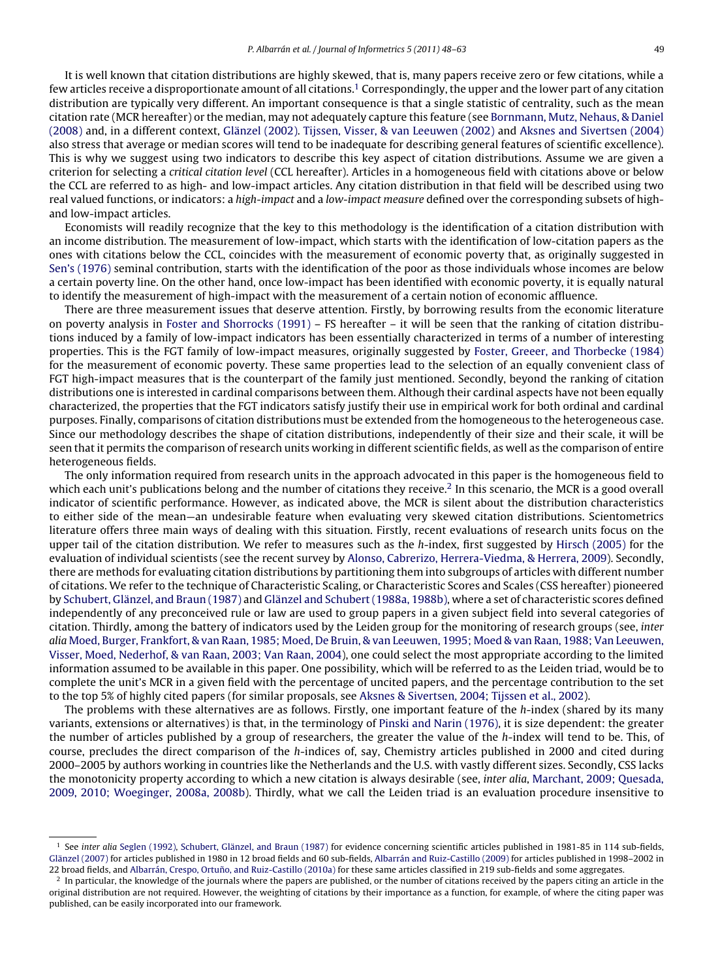It is well known that citation distributions are highly skewed, that is, many papers receive zero or few citations, while a few articles receive a disproportionate amount of all citations.<sup>1</sup> Correspondingly, the upper and the lower part of any citation distribution are typically very different. An important consequence is that a single statistic of centrality, such as the mean citation rate (MCR hereafter) or the median, may not adequately capture this feature (see [Bornmann, Mutz, Nehaus, & Daniel](#page-14-0) [\(2008\)](#page-14-0) and, in a different context, [Glänzel \(2002\).](#page-14-0) [Tijssen, Visser, & van Leeuwen \(2002\)](#page-15-0) and [Aksnes and Sivertsen \(2004\)](#page-14-0) also stress that average or median scores will tend to be inadequate for describing general features of scientific excellence). This is why we suggest using two indicators to describe this key aspect of citation distributions. Assume we are given a criterion for selecting a critical citation level (CCL hereafter). Articles in a homogeneous field with citations above or below the CCL are referred to as high- and low-impact articles. Any citation distribution in that field will be described using two real valued functions, or indicators: a high-impact and a low-impact measure defined over the corresponding subsets of highand low-impact articles.

Economists will readily recognize that the key to this methodology is the identification of a citation distribution with an income distribution. The measurement of low-impact, which starts with the identification of low-citation papers as the ones with citations below the CCL, coincides with the measurement of economic poverty that, as originally suggested in [Sen's \(1976\)](#page-15-0) seminal contribution, starts with the identification of the poor as those individuals whose incomes are below a certain poverty line. On the other hand, once low-impact has been identified with economic poverty, it is equally natural to identify the measurement of high-impact with the measurement of a certain notion of economic affluence.

There are three measurement issues that deserve attention. Firstly, by borrowing results from the economic literature on poverty analysis in [Foster and Shorrocks \(1991\)](#page-14-0) – FS hereafter – it will be seen that the ranking of citation distributions induced by a family of low-impact indicators has been essentially characterized in terms of a number of interesting properties. This is the FGT family of low-impact measures, originally suggested by [Foster, Greeer, and Thorbecke \(1984\)](#page-14-0) for the measurement of economic poverty. These same properties lead to the selection of an equally convenient class of FGT high-impact measures that is the counterpart of the family just mentioned. Secondly, beyond the ranking of citation distributions one is interested in cardinal comparisons between them. Although their cardinal aspects have not been equally characterized, the properties that the FGT indicators satisfy justify their use in empirical work for both ordinal and cardinal purposes. Finally, comparisons of citation distributions must be extended from the homogeneous to the heterogeneous case. Since our methodology describes the shape of citation distributions, independently of their size and their scale, it will be seen that it permits the comparison of research units working in different scientific fields, as well as the comparison of entire heterogeneous fields.

The only information required from research units in the approach advocated in this paper is the homogeneous field to which each unit's publications belong and the number of citations they receive.<sup>2</sup> In this scenario, the MCR is a good overall indicator of scientific performance. However, as indicated above, the MCR is silent about the distribution characteristics to either side of the mean—an undesirable feature when evaluating very skewed citation distributions. Scientometrics literature offers three main ways of dealing with this situation. Firstly, recent evaluations of research units focus on the upper tail of the citation distribution. We refer to measures such as the h-index, first suggested by [Hirsch \(2005\)](#page-14-0) for the evaluation of individual scientists (see the recent survey by [Alonso, Cabrerizo, Herrera-Viedma, & Herrera, 2009\).](#page-14-0) Secondly, there are methods for evaluating citation distributions by partitioning them into subgroups of articles with different number of citations. We refer to the technique of Characteristic Scaling, or Characteristic Scores and Scales (CSS hereafter) pioneered by [Schubert, Glänzel, and Braun \(1987\)](#page-15-0) and [Glänzel and Schubert \(1988a, 1988b\), w](#page-14-0)here a set of characteristic scores defined independently of any preconceived rule or law are used to group papers in a given subject field into several categories of citation. Thirdly, among the battery of indicators used by the Leiden group for the monitoring of research groups (see, inter alia [Moed, Burger, Frankfort, & van Raan, 1985; Moed, De Bruin, & van Leeuwen, 1995; Moed & van Raan, 1988; Van Leeuwen,](#page-15-0) [Visser, Moed, Nederhof, & van Raan, 2003; Van Raan, 2004\),](#page-15-0) one could select the most appropriate according to the limited information assumed to be available in this paper. One possibility, which will be referred to as the Leiden triad, would be to complete the unit's MCR in a given field with the percentage of uncited papers, and the percentage contribution to the set to the top 5% of highly cited papers (for similar proposals, see [Aksnes & Sivertsen, 2004; Tijssen et al., 2002\).](#page-14-0)

The problems with these alternatives are as follows. Firstly, one important feature of the h-index (shared by its many variants, extensions or alternatives) is that, in the terminology of [Pinski and Narin \(1976\), i](#page-15-0)t is size dependent: the greater the number of articles published by a group of researchers, the greater the value of the h-index will tend to be. This, of course, precludes the direct comparison of the h-indices of, say, Chemistry articles published in 2000 and cited during 2000–2005 by authors working in countries like the Netherlands and the U.S. with vastly different sizes. Secondly, CSS lacks the monotonicity property according to which a new citation is always desirable (see, inter alia, [Marchant, 2009; Quesada,](#page-15-0) [2009, 2010; Woeginger, 2008a, 2008b\).](#page-15-0) Thirdly, what we call the Leiden triad is an evaluation procedure insensitive to

<sup>&</sup>lt;sup>1</sup> See inter alia [Seglen \(1992\),](#page-15-0) [Schubert, Glänzel, and Braun \(1987\)](#page-15-0) for evidence concerning scientific articles published in 1981-85 in 114 sub-fields, [Glänzel \(2007\)](#page-14-0) for articles published in 1980 in 12 broad fields and 60 sub-fields, [Albarrán and Ruiz-Castillo \(2009\)](#page-14-0) for articles published in 1998–2002 in 22 broad fields, and Albarrán, Crespo, Ortuño, and Ruiz-Castillo (2010a) for these same articles classified in 219 sub-fields and some aggregates.

 $<sup>2</sup>$  In particular, the knowledge of the journals where the papers are published, or the number of citations received by the papers citing an article in the</sup> original distribution are not required. However, the weighting of citations by their importance as a function, for example, of where the citing paper was published, can be easily incorporated into our framework.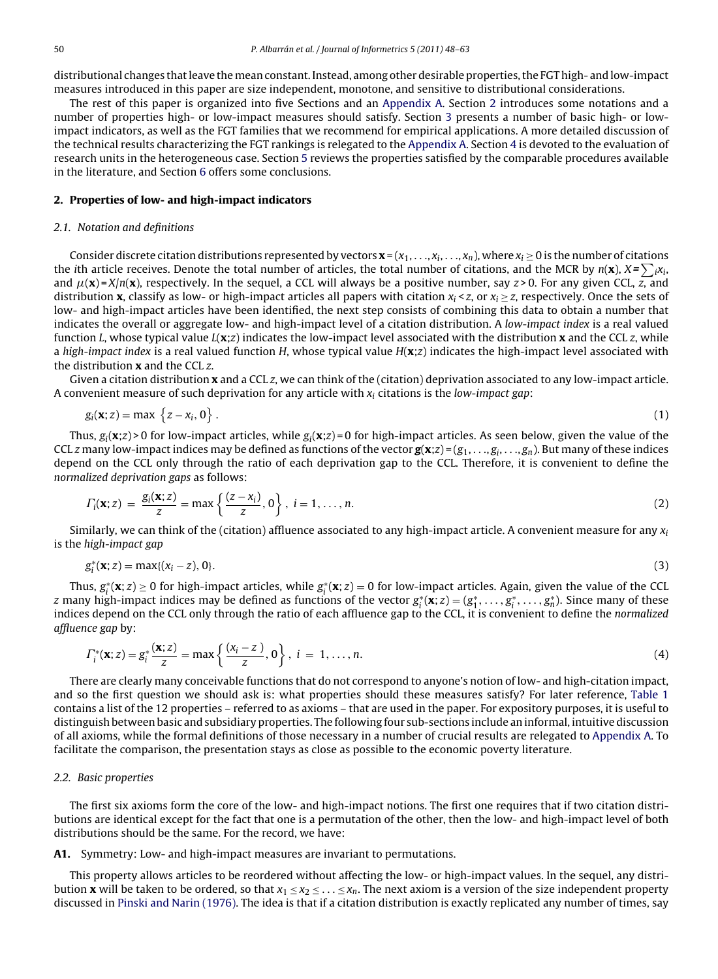<span id="page-2-0"></span>distributional changes that leave themean constant. Instead, among other desirable properties, the FGT high- and low-impact measures introduced in this paper are size independent, monotone, and sensitive to distributional considerations.

The rest of this paper is organized into five Sections and an [Appendix A.](#page-12-0) Section 2 introduces some notations and a number of properties high- or low-impact measures should satisfy. Section [3](#page-7-0) presents a number of basic high- or lowimpact indicators, as well as the FGT families that we recommend for empirical applications. A more detailed discussion of the technical results characterizing the FGT rankings is relegated to the [Appendix A. S](#page-12-0)ection [4](#page-8-0) is devoted to the evaluation of research units in the heterogeneous case. Section [5](#page-9-0) reviews the properties satisfied by the comparable procedures available in the literature, and Section [6](#page-11-0) offers some conclusions.

#### **2. Properties of low- and high-impact indicators**

#### 2.1. Notation and definitions

Consider discrete citation distributions represented by vectors  $\mathbf{x} = (x_1, \ldots, x_i, \ldots, x_n)$ , where  $x_i \geq 0$  is the number of citations the ith article receives. Denote the total number of articles, the total number of citations, and the MCR by  $n(\mathbf{x})$ ,  $X = \sum_i x_i$ ,  $X_i = \sum_i x_i$ ,  $Y_i = \sum_i x_i$ ,  $Y_i = \sum_i x_i$ ,  $Y_i = \sum_i x_i$ ,  $Y_i = \sum_i x_i$ ,  $Y_i = \sum_i x_i$ ,  $Y_i = \sum_i x_i$ ,  $Y_i = \sum_i$ and  $\mu(\mathbf{x})$ =X/n(**x**), respectively. In the sequel, a CCL will always be a positive number, say z>0. For any given CCL, z, and<br>distribution **x** classify as low- or bigh-impact articles all papers with citation x.< z, or x distribution **x**, classify as low- or high-impact articles all papers with citation  $x_i < z$ , or  $x_i > z$ , respectively. Once the sets of low- and high-impact articles have been identified, the next step consists of combining this data to obtain a number that indicates the overall or aggregate low- and high-impact level of a citation distribution. A low-impact index is a real valued function L, whose typical value L(**x**;z) indicates the low-impact level associated with the distribution **x** and the CCL z, while a high-impact index is a real valued function H, whose typical value H(**x**;z) indicates the high-impact level associated with the distribution **x** and the CCL z.

Given a citation distribution **x** and a CCL z, we can think of the (citation) deprivation associated to any low-impact article. A convenient measure of such deprivation for any article with  $x_i$  citations is the low-impact gap:

$$
g_i(\mathbf{x}; z) = \max \left\{ z - x_i, 0 \right\}.
$$
 (1)

Thus,  $g_i(x; z)$  > 0 for low-impact articles, while  $g_i(x; z)$  = 0 for high-impact articles. As seen below, given the value of the CCL z many low-impact indices may be defined as functions of the vector  $g(x; z) = (g_1, \ldots, g_i, \ldots, g_n)$ . But many of these indices depend on the CCL only through the ratio of each deprivation gap to the CCL. Therefore, it is convenient to define the normalized deprivation gaps as follows:

$$
\Gamma_i(\mathbf{x}; z) = \frac{g_i(\mathbf{x}; z)}{z} = \max\left\{\frac{(z - x_i)}{z}, 0\right\}, \ i = 1, \dots, n. \tag{2}
$$

Similarly, we can think of the (citation) affluence associated to any high-impact article. A convenient measure for any  $x_i$ is the high-impact gap

$$
g_i^*(\mathbf{x};z) = \max\{(x_i - z), 0\}.
$$
 (3)

Thus,  $g_i^*(\mathbf{x}; z) \ge 0$  for high-impact articles, while  $g_i^*(\mathbf{x}; z) = 0$  for low-impact articles. Again, given the value of the CCL<br>pany high-impact indices may be defined as functions of the vector  $g^*(\mathbf{x}; z) = (g^* - g^*$ z many high-impact indices may be defined as functions of the vector  $g_i^*(\mathbf{x}; z) = (g_1^*, \ldots, g_i^*, \ldots, g_n^*)$ . Since many of these indices depend on the CCI only through the ratio of each affluence gan to the CCI it is conven indices depend on the CCL only through the ratio of each affluence gap to the CCL, it is convenient to define the normalized affluence gap by:

$$
\Gamma_i^*(\mathbf{x};z) = g_i^*(\frac{\mathbf{x};z)}{z} = \max\left\{\frac{(x_i - z)}{z}, 0\right\}, \ i = 1, \dots, n. \tag{4}
$$

There are clearly many conceivable functions that do not correspond to anyone's notion of low- and high-citation impact, and so the first question we should ask is: what properties should these measures satisfy? For later reference, [Table 1](#page-3-0) contains a list of the 12 properties – referred to as axioms – that are used in the paper. For expository purposes, it is useful to distinguish between basic and subsidiary properties. The following four sub-sections include an informal, intuitive discussion of all axioms, while the formal definitions of those necessary in a number of crucial results are relegated to [Appendix A. T](#page-12-0)o facilitate the comparison, the presentation stays as close as possible to the economic poverty literature.

# 2.2. Basic properties

The first six axioms form the core of the low- and high-impact notions. The first one requires that if two citation distributions are identical except for the fact that one is a permutation of the other, then the low- and high-impact level of both distributions should be the same. For the record, we have:

## **A1.** Symmetry: Low- and high-impact measures are invariant to permutations.

This property allows articles to be reordered without affecting the low- or high-impact values. In the sequel, any distribution **x** will be taken to be ordered, so that  $x_1 \le x_2 \le \ldots \le x_n$ . The next axiom is a version of the size independent property discussed in [Pinski and Narin \(1976\). T](#page-15-0)he idea is that if a citation distribution is exactly replicated any number of times, say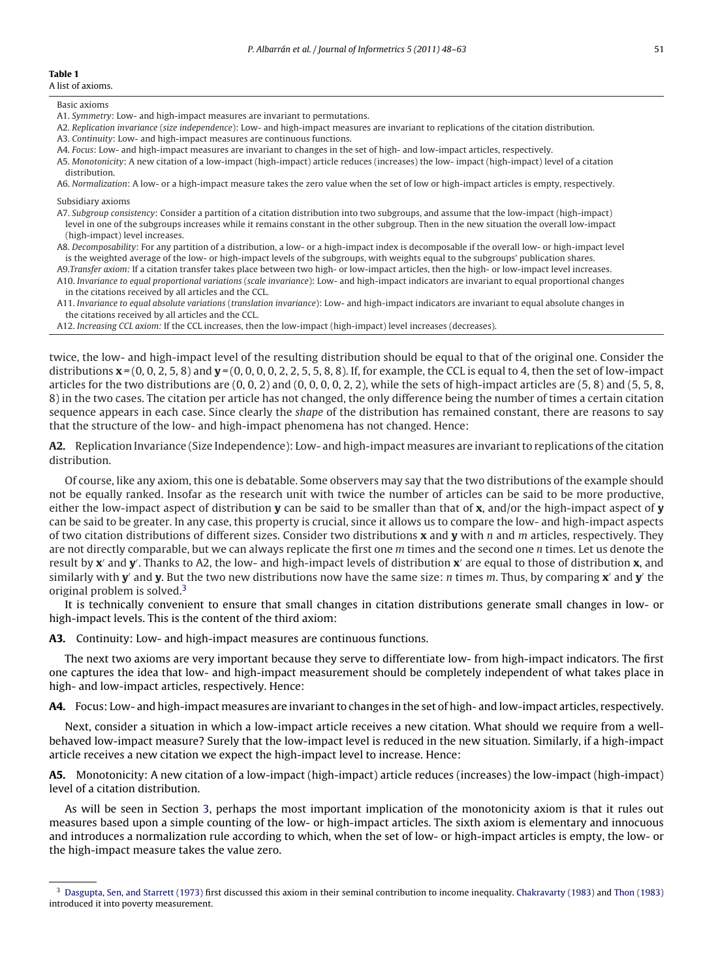<span id="page-3-0"></span>**Table 1**

A list of axioms.

Basic axioms

A1. Symmetry: Low- and high-impact measures are invariant to permutations.

- A2. Replication invariance (size independence): Low- and high-impact measures are invariant to replications of the citation distribution.
- A3. Continuity: Low- and high-impact measures are continuous functions.
- A4. Focus: Low- and high-impact measures are invariant to changes in the set of high- and low-impact articles, respectively.

A5. Monotonicity: A new citation of a low-impact (high-impact) article reduces (increases) the low- impact (high-impact) level of a citation distribution.

A6. Normalization: A low- or a high-impact measure takes the zero value when the set of low or high-impact articles is empty, respectively.

Subsidiary axioms

A7. Subgroup consistency: Consider a partition of a citation distribution into two subgroups, and assume that the low-impact (high-impact) level in one of the subgroups increases while it remains constant in the other subgroup. Then in the new situation the overall low-impact (high-impact) level increases.

A8. Decomposability: For any partition of a distribution, a low- or a high-impact index is decomposable if the overall low- or high-impact level is the weighted average of the low- or high-impact levels of the subgroups, with weights equal to the subgroups' publication shares.

A9.Transfer axiom: If a citation transfer takes place between two high- or low-impact articles, then the high- or low-impact level increases.

A10. Invariance to equal proportional variations (scale invariance): Low- and high-impact indicators are invariant to equal proportional changes in the citations received by all articles and the CCL.

A11. Invariance to equal absolute variations (translation invariance): Low- and high-impact indicators are invariant to equal absolute changes in the citations received by all articles and the CCL.

A12. Increasing CCL axiom: If the CCL increases, then the low-impact (high-impact) level increases (decreases).

twice, the low- and high-impact level of the resulting distribution should be equal to that of the original one. Consider the distributions  $\mathbf{x} = (0, 0, 2, 5, 8)$  and  $\mathbf{y} = (0, 0, 0, 0, 2, 2, 5, 5, 8, 8)$ . If, for example, the CCL is equal to 4, then the set of low-impact articles for the two distributions are  $(0, 0, 2)$  and  $(0, 0, 0, 0, 2, 2)$ , while the sets of high-impact articles are  $(5, 8)$  and  $(5, 5, 8)$ . 8) in the two cases. The citation per article has not changed, the only difference being the number of times a certain citation sequence appears in each case. Since clearly the *shape* of the distribution has remained constant, there are reasons to say that the structure of the low- and high-impact phenomena has not changed. Hence:

**A2.** Replication Invariance (Size Independence): Low- and high-impact measures are invariant to replications of the citation distribution.

Of course, like any axiom, this one is debatable. Some observers may say that the two distributions of the example should not be equally ranked. Insofar as the research unit with twice the number of articles can be said to be more productive, either the low-impact aspect of distribution **y** can be said to be smaller than that of **x**, and/or the high-impact aspect of **y** can be said to be greater. In any case, this property is crucial, since it allows us to compare the low- and high-impact aspects of two citation distributions of different sizes. Consider two distributions **x** and **y** with n and m articles, respectively. They are not directly comparable, but we can always replicate the first one  $m$  times and the second one  $n$  times. Let us denote the result by **x** and **y** . Thanks to A2, the low- and high-impact levels of distribution **x** are equal to those of distribution **x**, and similarly with **y** and **y**. But the two new distributions now have the same size: n times m. Thus, by comparing **x** and **y** the original problem is solved.3

It is technically convenient to ensure that small changes in citation distributions generate small changes in low- or high-impact levels. This is the content of the third axiom:

**A3.** Continuity: Low- and high-impact measures are continuous functions.

The next two axioms are very important because they serve to differentiate low- from high-impact indicators. The first one captures the idea that low- and high-impact measurement should be completely independent of what takes place in high- and low-impact articles, respectively. Hence:

**A4.** Focus: Low- and high-impact measures are invariant to changes in the set of high- and low-impact articles, respectively.

Next, consider a situation in which a low-impact article receives a new citation. What should we require from a wellbehaved low-impact measure? Surely that the low-impact level is reduced in the new situation. Similarly, if a high-impact article receives a new citation we expect the high-impact level to increase. Hence:

**A5.** Monotonicity: A new citation of a low-impact (high-impact) article reduces (increases) the low-impact (high-impact) level of a citation distribution.

As will be seen in Section [3, p](#page-7-0)erhaps the most important implication of the monotonicity axiom is that it rules out measures based upon a simple counting of the low- or high-impact articles. The sixth axiom is elementary and innocuous and introduces a normalization rule according to which, when the set of low- or high-impact articles is empty, the low- or the high-impact measure takes the value zero.

<sup>3</sup> [Dasgupta, Sen, and Starrett \(1973\)](#page-14-0) first discussed this axiom in their seminal contribution to income inequality. [Chakravarty \(1983\)](#page-14-0) and [Thon \(1983\)](#page-15-0) introduced it into poverty measurement.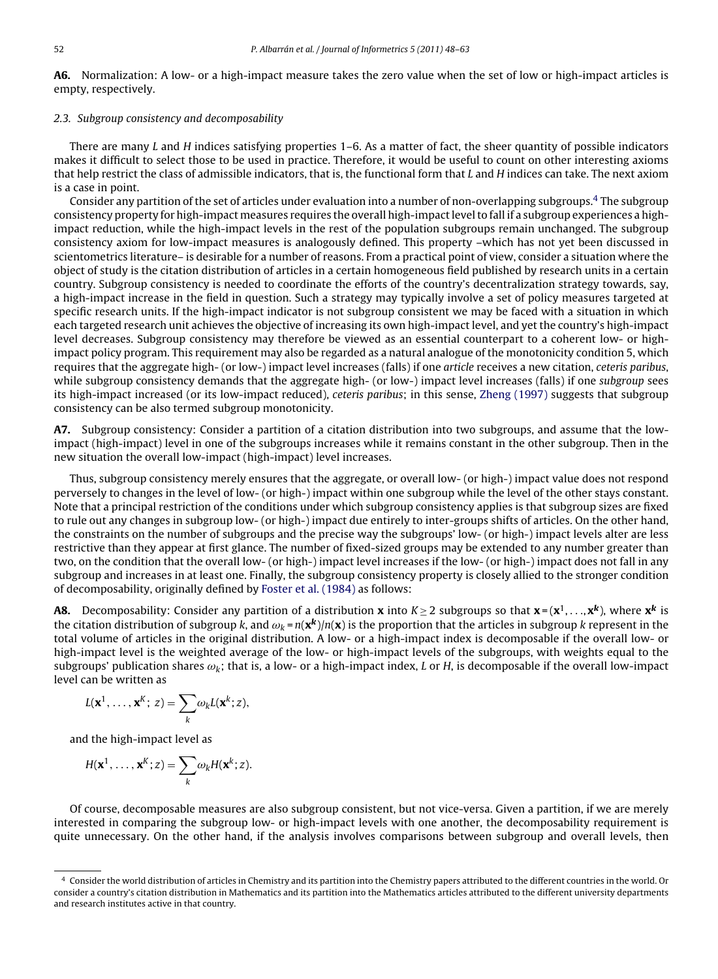**A6.** Normalization: A low- or a high-impact measure takes the zero value when the set of low or high-impact articles is empty, respectively.

# 2.3. Subgroup consistency and decomposability

There are many  $L$  and  $H$  indices satisfying properties 1–6. As a matter of fact, the sheer quantity of possible indicators makes it difficult to select those to be used in practice. Therefore, it would be useful to count on other interesting axioms that help restrict the class of admissible indicators, that is, the functional form that  $L$  and  $H$  indices can take. The next axiom is a case in point.

Consider any partition of the set of articles under evaluation into a number of non-overlapping subgroups.4 The subgroup consistency property for high-impact measures requires the overall high-impact level to fall if a subgroup experiences a highimpact reduction, while the high-impact levels in the rest of the population subgroups remain unchanged. The subgroup consistency axiom for low-impact measures is analogously defined. This property –which has not yet been discussed in scientometrics literature– is desirable for a number of reasons. From a practical point of view, consider a situation where the object of study is the citation distribution of articles in a certain homogeneous field published by research units in a certain country. Subgroup consistency is needed to coordinate the efforts of the country's decentralization strategy towards, say, a high-impact increase in the field in question. Such a strategy may typically involve a set of policy measures targeted at specific research units. If the high-impact indicator is not subgroup consistent we may be faced with a situation in which each targeted research unit achieves the objective of increasing its own high-impact level, and yet the country's high-impact level decreases. Subgroup consistency may therefore be viewed as an essential counterpart to a coherent low- or highimpact policy program. This requirement may also be regarded as a natural analogue of the monotonicity condition 5, which requires that the aggregate high- (or low-) impact level increases (falls) if one article receives a new citation, ceteris paribus, while subgroup consistency demands that the aggregate high- (or low-) impact level increases (falls) if one subgroup sees its high-impact increased (or its low-impact reduced), ceteris paribus; in this sense, [Zheng \(1997\)](#page-15-0) suggests that subgroup consistency can be also termed subgroup monotonicity.

**A7.** Subgroup consistency: Consider a partition of a citation distribution into two subgroups, and assume that the lowimpact (high-impact) level in one of the subgroups increases while it remains constant in the other subgroup. Then in the new situation the overall low-impact (high-impact) level increases.

Thus, subgroup consistency merely ensures that the aggregate, or overall low- (or high-) impact value does not respond perversely to changes in the level of low- (or high-) impact within one subgroup while the level of the other stays constant. Note that a principal restriction of the conditions under which subgroup consistency applies is that subgroup sizes are fixed to rule out any changes in subgroup low- (or high-) impact due entirely to inter-groups shifts of articles. On the other hand, the constraints on the number of subgroups and the precise way the subgroups' low- (or high-) impact levels alter are less restrictive than they appear at first glance. The number of fixed-sized groups may be extended to any number greater than two, on the condition that the overall low- (or high-) impact level increases if the low- (or high-) impact does not fall in any subgroup and increases in at least one. Finally, the subgroup consistency property is closely allied to the stronger condition of decomposability, originally defined by [Foster et al. \(1984\)](#page-14-0) as follows:

**A8.** Decomposability: Consider any partition of a distribution **x** into  $K \ge 2$  subgroups so that  $\mathbf{x} = (\mathbf{x}^1, \dots, \mathbf{x}^k)$ , where  $\mathbf{x}^k$  is the citation distribution of subgroup k, and  $\omega_k = n(\mathbf{x}^k)/n(\mathbf{x})$  is the proportion that the articles in subgroup k represent in the total volume of articles in the original distribution. A low- or a high-impact index is decomposable if the overall low- or high-impact level is the weighted average of the low- or high-impact levels of the subgroups, with weights equal to the subgroups' publication shares  $\omega_k$ ; that is, a low- or a high-impact index, L or H, is decomposable if the overall low-impact level can be written as

$$
L(\mathbf{x}^1,\ldots,\mathbf{x}^K;\,z)=\sum_k \omega_k L(\mathbf{x}^k;z),
$$

and the high-impact level as

$$
H(\mathbf{x}^1,\ldots,\mathbf{x}^K;z)=\sum_k \omega_k H(\mathbf{x}^k;z).
$$

Of course, decomposable measures are also subgroup consistent, but not vice-versa. Given a partition, if we are merely interested in comparing the subgroup low- or high-impact levels with one another, the decomposability requirement is quite unnecessary. On the other hand, if the analysis involves comparisons between subgroup and overall levels, then

 $4$  Consider the world distribution of articles in Chemistry and its partition into the Chemistry papers attributed to the different countries in the world. Or consider a country's citation distribution in Mathematics and its partition into the Mathematics articles attributed to the different university departments and research institutes active in that country.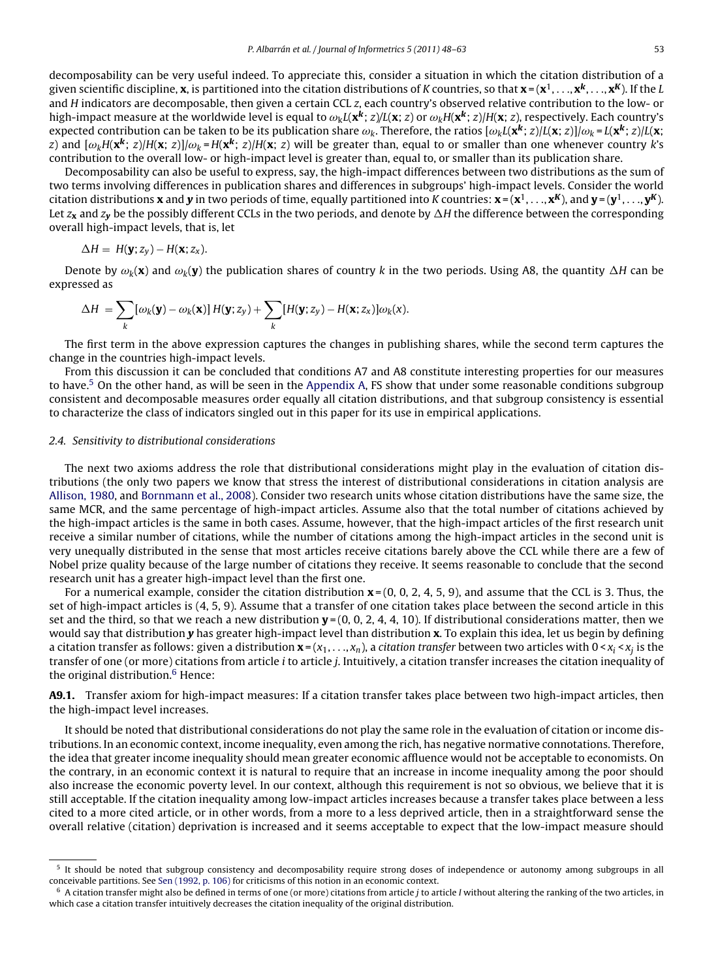decomposability can be very useful indeed. To appreciate this, consider a situation in which the citation distribution of a given scientific discipline, **x**, is partitioned into the citation distributions of K countries, so that  $\mathbf{x} = (\mathbf{x}^1, \dots, \mathbf{x}^k, \dots, \mathbf{x}^K)$ . If the L and H indicators are decomposable, then given a certain CCL z, each country's observed relative contribution to the low- or high-impact measure at the worldwide level is equal to  $\omega_k L(\mathbf{x}^k; z)/L(\mathbf{x}; z)$  or  $\omega_k H(\mathbf{x}^k; z)/H(\mathbf{x}; z)$ , respectively. Each country's expected contribution can be taken to be its publication share  $\omega_k$ . Therefore, the ratios  $[\omega_k L(\mathbf{x}^k; z)]/L(\mathbf{x}; z)]/\omega_k = L(\mathbf{x}^k; z)/L(\mathbf{x}; z)$ z) and  $[\omega_k H(\mathbf{x}^k; z)|H(\mathbf{x}; z)]/\omega_k = H(\mathbf{x}^k; z)|H(\mathbf{x}; z)$  will be greater than, equal to or smaller than one whenever country k's contribution to the overall low- or high-impact level is greater than, equal to, or smaller than its publication share.

Decomposability can also be useful to express, say, the high-impact differences between two distributions as the sum of two terms involving differences in publication shares and differences in subgroups' high-impact levels. Consider the world citation distributions **x** and **y** in two periods of time, equally partitioned into K countries:  $\mathbf{x} = (\mathbf{x}^1, \dots, \mathbf{x}^K)$ , and  $\mathbf{y} = (\mathbf{y}^1, \dots, \mathbf{y}^K)$ . Let  $z_x$  and  $z_y$  be the possibly different CCLs in the two periods, and denote by  $\Delta H$  the difference between the corresponding overall high-impact levels, that is, let

$$
\Delta H = H(\mathbf{y}; z_y) - H(\mathbf{x}; z_x).
$$

Denote by  $\omega_k(\mathbf{x})$  and  $\omega_k(\mathbf{y})$  the publication shares of country k in the two periods. Using A8, the quantity  $\Delta H$  can be expressed as

$$
\Delta H = \sum_{k} [\omega_k(\mathbf{y}) - \omega_k(\mathbf{x})] H(\mathbf{y}; z_y) + \sum_{k} [H(\mathbf{y}; z_y) - H(\mathbf{x}; z_x)] \omega_k(x).
$$

The first term in the above expression captures the changes in publishing shares, while the second term captures the change in the countries high-impact levels.

From this discussion it can be concluded that conditions A7 and A8 constitute interesting properties for our measures to have.<sup>5</sup> On the other hand, as will be seen in the [Appendix A, F](#page-12-0)S show that under some reasonable conditions subgroup consistent and decomposable measures order equally all citation distributions, and that subgroup consistency is essential to characterize the class of indicators singled out in this paper for its use in empirical applications.

#### 2.4. Sensitivity to distributional considerations

The next two axioms address the role that distributional considerations might play in the evaluation of citation distributions (the only two papers we know that stress the interest of distributional considerations in citation analysis are [Allison, 1980, a](#page-14-0)nd [Bornmann et al., 2008\).](#page-14-0) Consider two research units whose citation distributions have the same size, the same MCR, and the same percentage of high-impact articles. Assume also that the total number of citations achieved by the high-impact articles is the same in both cases. Assume, however, that the high-impact articles of the first research unit receive a similar number of citations, while the number of citations among the high-impact articles in the second unit is very unequally distributed in the sense that most articles receive citations barely above the CCL while there are a few of Nobel prize quality because of the large number of citations they receive. It seems reasonable to conclude that the second research unit has a greater high-impact level than the first one.

For a numerical example, consider the citation distribution  $\mathbf{x} = (0, 0, 2, 4, 5, 9)$ , and assume that the CCL is 3. Thus, the set of high-impact articles is (4, 5, 9). Assume that a transfer of one citation takes place between the second article in this set and the third, so that we reach a new distribution  $\mathbf{v} = (0, 0, 2, 4, 4, 10)$ . If distributional considerations matter, then we would say that distribution **y** has greater high-impact level than distribution **<sup>x</sup>**. To explain this idea, let us begin by defining a citation transfer as follows: given a distribution  $\mathbf{x} = (x_1, \ldots, x_n)$ , a *citation transfer* between two articles with  $0 \le x_i \le x_j$  is the transfer of one (or more) citations from article i to article j. Intuitively, a citation transfer increases the citation inequality of the original distribution. $6$  Hence:

**A9.1.** Transfer axiom for high-impact measures: If a citation transfer takes place between two high-impact articles, then the high-impact level increases.

It should be noted that distributional considerations do not play the same role in the evaluation of citation or income distributions. In an economic context, income inequality, even among the rich, has negative normative connotations. Therefore, the idea that greater income inequality should mean greater economic affluence would not be acceptable to economists. On the contrary, in an economic context it is natural to require that an increase in income inequality among the poor should also increase the economic poverty level. In our context, although this requirement is not so obvious, we believe that it is still acceptable. If the citation inequality among low-impact articles increases because a transfer takes place between a less cited to a more cited article, or in other words, from a more to a less deprived article, then in a straightforward sense the overall relative (citation) deprivation is increased and it seems acceptable to expect that the low-impact measure should

<sup>5</sup> It should be noted that subgroup consistency and decomposability require strong doses of independence or autonomy among subgroups in all conceivable partitions. See [Sen \(1992, p. 106\)](#page-15-0) for criticisms of this notion in an economic context.

 $^6$  A citation transfer might also be defined in terms of one (or more) citations from article j to article I without altering the ranking of the two articles, in which case a citation transfer intuitively decreases the citation inequality of the original distribution.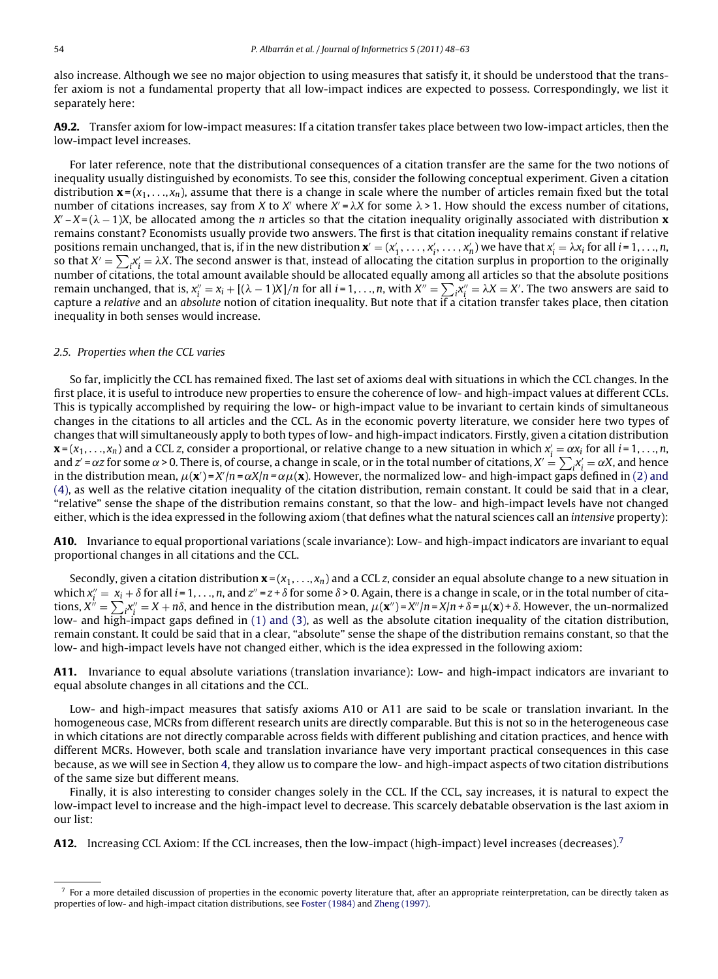<span id="page-6-0"></span>also increase. Although we see no major objection to using measures that satisfy it, it should be understood that the transfer axiom is not a fundamental property that all low-impact indices are expected to possess. Correspondingly, we list it separately here:

**A9.2.** Transfer axiom for low-impact measures: If a citation transfer takes place between two low-impact articles, then the low-impact level increases.

For later reference, note that the distributional consequences of a citation transfer are the same for the two notions of inequality usually distinguished by economists. To see this, consider the following conceptual experiment. Given a citation distribution  $\mathbf{x} = (x_1, \ldots, x_n)$ , assume that there is a change in scale where the number of articles remain fixed but the total number of citations increases, say from X to X' where  $X' = \lambda X$  for some  $\lambda > 1$ . How should the excess number of citations,  $X' - X = (\lambda - 1)X$ , be allocated among the *n* articles so that the citation inequality originally associated with distribution **x** remains constant? Economists usually provide two answers. The first is that citation inequality remains constant if relative positions remain unchanged, that is, if in the new distribution  $\mathbf{x}' = (x'_1, \ldots, x'_i, \ldots, x'_n)$  we have that  $x'_i = \lambda x_i$  for all  $i = 1, \ldots, n$ ,  $x_i$  so that  $X' = \sum x' = \lambda X$ . The second answer is that instead of allocating the c so that  $X' = \sum_i X'_i = \lambda X$ . The second answer is that, instead of allocating the citation surplus in proportion to the originally<br>number of citations, the total amount available should be allocated equally among all articles number of citations, the total amount available should be allocated equally among all articles so that the absolute positions remain unchanged, that is,  $x_i'' = x_i + [(\lambda - 1)X]/n$  for all  $i = 1, ..., n$ , with  $X'' = \sum$ <br>capture a relative and an absolute potion of citation inequality. But note that if a  $i<sub>i</sub> x''_i = \lambda X = X'$ . The two answers are said to  $i<sub>i</sub>$  ration transfer takes place then citation capture a *relative* and an *absolute* notion of citation inequality. But note that if a citation transfer takes place, then citation inequality in both senses would increase.

#### 2.5. Properties when the CCL varies

So far, implicitly the CCL has remained fixed. The last set of axioms deal with situations in which the CCL changes. In the first place, it is useful to introduce new properties to ensure the coherence of low- and high-impact values at different CCLs. This is typically accomplished by requiring the low- or high-impact value to be invariant to certain kinds of simultaneous changes in the citations to all articles and the CCL. As in the economic poverty literature, we consider here two types of changes that will simultaneously apply to both types of low- and high-impact indicators. Firstly, given a citation distribution **x** =  $(x_1, \ldots, x_n)$  and a CCL z, consider a proportional, or relative change to a new situation in which  $x'_i = \alpha x_i$  for all  $i = 1, \ldots, n$ ,  $\alpha$ ,  $\alpha$  and  $\alpha$  is a state of course a change in scale, or in the total number and  $z' = \alpha z$  for some  $\alpha > 0$ . There is, of course, a change in scale, or in the total number of citations,  $X' = \sum_i X'_i = \alpha X$ , and hence<br>in the distribution mean  $\mu(\mathbf{x}') = X'/n = \alpha X/n = \alpha \mu(\mathbf{x})$ . However, the normalized low- an in the distribution mean,  $\mu(\mathbf{x}') = X'/n = \alpha X/n = \alpha \mu(\mathbf{x})$ . However, the normalized low- and high-impact gaps defined in [\(2\) and](#page-2-0) (2) and (2) and (3) and (3) and (3) and (3) and (4) and (3) and (4) and (4) and (4) and (4) and [\(4\), a](#page-2-0)s well as the relative citation inequality of the citation distribution, remain constant. It could be said that in a clear, "relative" sense the shape of the distribution remains constant, so that the low- and high-impact levels have not changed either, which is the idea expressed in the following axiom (that defines what the natural sciences call an intensive property):

**A10.** Invariance to equal proportional variations (scale invariance): Low- and high-impact indicators are invariant to equal proportional changes in all citations and the CCL.

Secondly, given a citation distribution  $\mathbf{x} = (x_1, \ldots, x_n)$  and a CCL z, consider an equal absolute change to a new situation in which  $x_i'' = x_i + \delta$  for all  $i = 1, ..., n$ , and  $z'' = z + \delta$  for some  $\delta > 0$ . Again, there is a change in scale, or in the total number of cita-<br>tions  $x'' = \sum x_i'' = X + n\delta$  and hence in the distribution mean  $u(x'') = x''/n = x/n + \delta = u(x) + \delta$ . H tions,  $X'' = \sum_i x_i'' = X + n\delta$ , and hence in the distribution mean,  $\mu(\mathbf{x}'') = X''/n = X/n + \delta = \mu(\mathbf{x}) + \delta$ . However, the un-normalized low-<br>low- and high-impact gans defined in (1) and (3) as well as the absolute citation inequality low- and high-impact gaps defined in [\(1\) and \(3\), a](#page-2-0)s well as the absolute citation inequality of the citation distribution, remain constant. It could be said that in a clear, "absolute" sense the shape of the distribution remains constant, so that the low- and high-impact levels have not changed either, which is the idea expressed in the following axiom:

**A11.** Invariance to equal absolute variations (translation invariance): Low- and high-impact indicators are invariant to equal absolute changes in all citations and the CCL.

Low- and high-impact measures that satisfy axioms A10 or A11 are said to be scale or translation invariant. In the homogeneous case, MCRs from different research units are directly comparable. But this is not so in the heterogeneous case in which citations are not directly comparable across fields with different publishing and citation practices, and hence with different MCRs. However, both scale and translation invariance have very important practical consequences in this case because, as we will see in Section [4, t](#page-8-0)hey allow us to compare the low- and high-impact aspects of two citation distributions of the same size but different means.

Finally, it is also interesting to consider changes solely in the CCL. If the CCL, say increases, it is natural to expect the low-impact level to increase and the high-impact level to decrease. This scarcely debatable observation is the last axiom in our list:

**A12.** Increasing CCL Axiom: If the CCL increases, then the low-impact (high-impact) level increases (decreases).7

 $7$  For a more detailed discussion of properties in the economic poverty literature that, after an appropriate reinterpretation, can be directly taken as properties of low- and high-impact citation distributions, see [Foster \(1984\)](#page-14-0) and [Zheng \(1997\).](#page-15-0)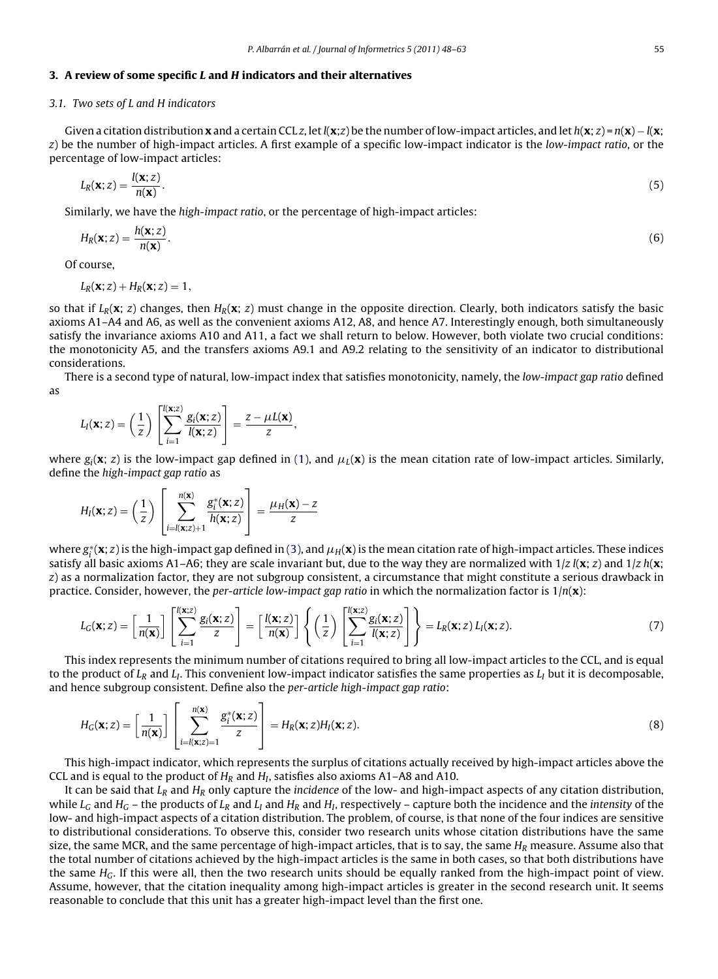## <span id="page-7-0"></span>**3. A review of some specific L and H indicators and their alternatives**

#### 3.1. Two sets of L and H indicators

Given a citation distribution **x** and a certain CCL z, let  $I(x; z)$  be the number of low-impact articles, and let  $h(x; z) = n(x) - l(x; z)$  $z$ ) be the number of high-impact articles. A first example of a specific low-impact indicator is the low-impact ratio, or the percentage of low-impact articles:

$$
L_R(\mathbf{x}; z) = \frac{l(\mathbf{x}; z)}{n(\mathbf{x})}.
$$
\n(5)

Similarly, we have the high-impact ratio, or the percentage of high-impact articles:

$$
H_R(\mathbf{x}; z) = \frac{h(\mathbf{x}; z)}{n(\mathbf{x})}.
$$
 (6)

Of course,

$$
L_R(\mathbf{x};z) + H_R(\mathbf{x};z) = 1,
$$

so that if  $L_R(\mathbf{x}; z)$  changes, then  $H_R(\mathbf{x}; z)$  must change in the opposite direction. Clearly, both indicators satisfy the basic axioms A1–A4 and A6, as well as the convenient axioms A12, A8, and hence A7. Interestingly enough, both simultaneously satisfy the invariance axioms A10 and A11, a fact we shall return to below. However, both violate two crucial conditions: the monotonicity A5, and the transfers axioms A9.1 and A9.2 relating to the sensitivity of an indicator to distributional considerations.

There is a second type of natural, low-impact index that satisfies monotonicity, namely, the low-impact gap ratio defined as

$$
L_I(\mathbf{x};z) = \left(\frac{1}{z}\right) \left[\sum_{i=1}^{I(\mathbf{x};z)} \frac{g_i(\mathbf{x};z)}{I(\mathbf{x};z)}\right] = \frac{z - \mu L(\mathbf{x})}{z},
$$

where  $g_i(\mathbf{x}; z)$  is the low-impact gap defined in [\(1\), a](#page-2-0)nd  $\mu_L(\mathbf{x})$  is the mean citation rate of low-impact articles. Similarly,<br>define the high-impact gan ratio 25 define the high-impact gap ratio as

$$
H_I(\mathbf{x}; z) = \left(\frac{1}{z}\right) \left[\sum_{i=I(\mathbf{x}; z)+1}^{n(\mathbf{x})} \frac{g_i^*(\mathbf{x}; z)}{h(\mathbf{x}; z)}\right] = \frac{\mu_H(\mathbf{x}) - z}{z}
$$

where  $g_i^*(\mathbf{x}; z)$  is the high-impact gap defined in [\(3\), a](#page-2-0)nd  $\mu_H(\mathbf{x})$  is the mean citation rate of high-impact articles. These indices<br>satisfy all basic axioms A1–A6: they are scale invariant but, due to the way they satisfy all basic axioms A1–A6; they are scale invariant but, due to the way they are normalized with  $1/z$  l( $\bf{x}$ ; z) and  $1/z$  h( $\bf{x}$ ; z) as a normalization factor, they are not subgroup consistent, a circumstance that might constitute a serious drawback in practice. Consider, however, the per-article low-impact gap ratio in which the normalization factor is 1/n(**x**):

$$
L_G(\mathbf{x}; z) = \left[\frac{1}{n(\mathbf{x})}\right] \left[\sum_{i=1}^{l(\mathbf{x}; z)} \frac{g_i(\mathbf{x}; z)}{z}\right] = \left[\frac{l(\mathbf{x}; z)}{n(\mathbf{x})}\right] \left\{ \left(\frac{1}{z}\right) \left[\sum_{i=1}^{l(\mathbf{x}; z)} \frac{g_i(\mathbf{x}; z)}{l(\mathbf{x}; z)}\right] \right\} = L_R(\mathbf{x}; z) L_I(\mathbf{x}; z).
$$
\n(7)

This index represents the minimum number of citations required to bring all low-impact articles to the CCL, and is equal to the product of  $L_R$  and  $L_I$ . This convenient low-impact indicator satisfies the same properties as  $L_I$  but it is decomposable, and hence subgroup consistent. Define also the per-article high-impact gap ratio:

$$
H_G(\mathbf{x}; z) = \left[\frac{1}{n(\mathbf{x})}\right] \left[\sum_{i=l(\mathbf{x}; z)=1}^{n(\mathbf{x})} \frac{g_i^*(\mathbf{x}; z)}{z}\right] = H_R(\mathbf{x}; z) H_I(\mathbf{x}; z).
$$
\n(8)

This high-impact indicator, which represents the surplus of citations actually received by high-impact articles above the CCL and is equal to the product of  $H_R$  and  $H_I$ , satisfies also axioms A1–A8 and A10.

It can be said that  $L_R$  and  $H_R$  only capture the incidence of the low- and high-impact aspects of any citation distribution, while  $L_G$  and  $H_G$  – the products of  $L_R$  and  $L_I$  and  $H_R$  and  $H_I$ , respectively – capture both the incidence and the *intensity* of the low- and high-impact aspects of a citation distribution. The problem, of course, is that none of the four indices are sensitive to distributional considerations. To observe this, consider two research units whose citation distributions have the same size, the same MCR, and the same percentage of high-impact articles, that is to say, the same  $H_R$  measure. Assume also that the total number of citations achieved by the high-impact articles is the same in both cases, so that both distributions have the same  $H_G$ . If this were all, then the two research units should be equally ranked from the high-impact point of view. Assume, however, that the citation inequality among high-impact articles is greater in the second research unit. It seems reasonable to conclude that this unit has a greater high-impact level than the first one.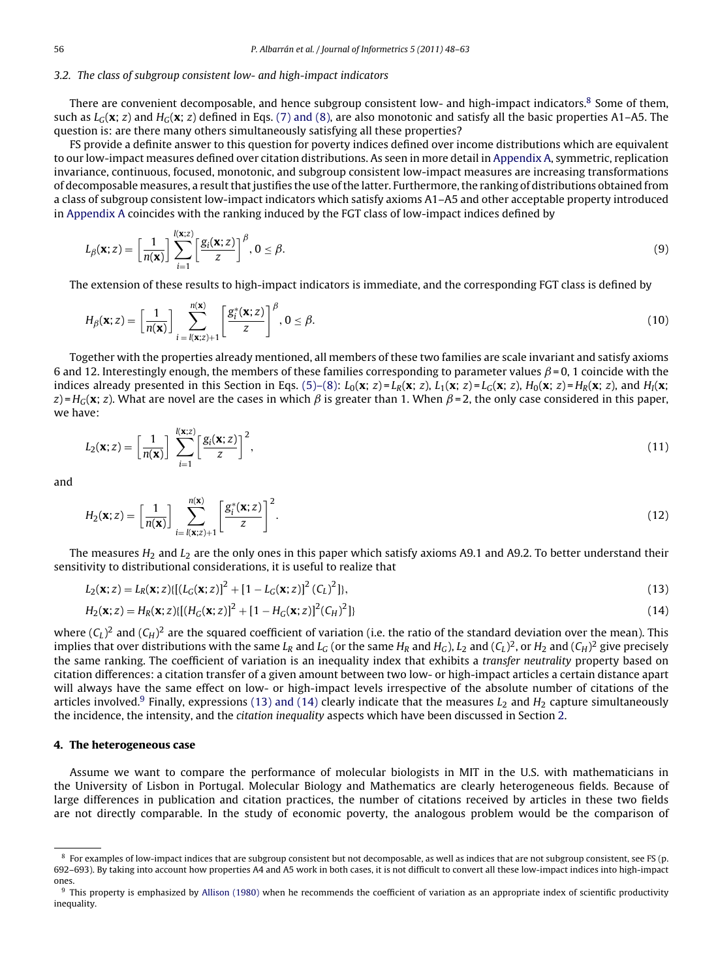#### <span id="page-8-0"></span>3.2. The class of subgroup consistent low- and high-impact indicators

There are convenient decomposable, and hence subgroup consistent low- and high-impact indicators.<sup>8</sup> Some of them, such as  $L_G(x; z)$  and  $H_G(x; z)$  defined in Eqs. [\(7\) and \(8\), a](#page-7-0)re also monotonic and satisfy all the basic properties A1–A5. The question is: are there many others simultaneously satisfying all these properties?

FS provide a definite answer to this question for poverty indices defined over income distributions which are equivalent to our low-impact measures defined over citation distributions. As seen in more detail in [Appendix A, s](#page-12-0)ymmetric, replication invariance, continuous, focused, monotonic, and subgroup consistent low-impact measures are increasing transformations of decomposable measures, a result that justifies the use of the latter. Furthermore, the ranking of distributions obtained from a class of subgroup consistent low-impact indicators which satisfy axioms A1–A5 and other acceptable property introduced in [Appendix A](#page-12-0) coincides with the ranking induced by the FGT class of low-impact indices defined by

$$
L_{\beta}(\mathbf{x}; z) = \left[\frac{1}{n(\mathbf{x})}\right] \sum_{i=1}^{l(\mathbf{x}; z)} \left[\frac{g_i(\mathbf{x}; z)}{z}\right]^{\beta}, 0 \le \beta.
$$
 (9)

The extension of these results to high-impact indicators is immediate, and the corresponding FGT class is defined by

$$
H_{\beta}(\mathbf{x}; z) = \left[\frac{1}{n(\mathbf{x})}\right] \sum_{i=\mathbf{l}(\mathbf{x}; z)+1}^{n(\mathbf{x})} \left[\frac{g_i^*(\mathbf{x}; z)}{z}\right]^{\beta}, 0 \leq \beta.
$$
 (10)

Together with the properties already mentioned, all members of these two families are scale invariant and satisfy axioms 6 and 12. Interestingly enough, the members of these families corresponding to parameter values  $\beta$  = 0, 1 coincide with the indices already presented in this Section in Eqs. [\(5\)–\(8\):](#page-7-0)  $L_0(\mathbf{x}; z) = L_R(\mathbf{x}; z)$ ,  $L_1(\mathbf{x}; z) = L_G(\mathbf{x}; z)$ ,  $H_0(\mathbf{x}; z) = H_R(\mathbf{x}; z)$ , and  $H_I(\mathbf{x}; z)$  $z$ ) = H<sub>G</sub>(**x**; z). What are novel are the cases in which  $\beta$  is greater than 1. When  $\beta$  = 2, the only case considered in this paper, we have:

$$
L_2(\mathbf{x}; z) = \left[\frac{1}{n(\mathbf{x})}\right] \sum_{i=1}^{l(\mathbf{x}; z)} \left[\frac{g_i(\mathbf{x}; z)}{z}\right]^2,
$$
\n(11)

and

$$
H_2(\mathbf{x}; z) = \left[\frac{1}{n(\mathbf{x})}\right] \sum_{i=1}^{n(\mathbf{x})} \left[\frac{g_i^*(\mathbf{x}; z)}{z}\right]^2.
$$
 (12)

The measures  $H_2$  and  $L_2$  are the only ones in this paper which satisfy axioms A9.1 and A9.2. To better understand their sensitivity to distributional considerations, it is useful to realize that

$$
L_2(\mathbf{x}; z) = L_R(\mathbf{x}; z) \{ [(L_G(\mathbf{x}; z)]^2 + [1 - L_G(\mathbf{x}; z)]^2 (C_L)^2] \},
$$
\n(13)

$$
H_2(\mathbf{x}; z) = H_R(\mathbf{x}; z) \{ [(H_G(\mathbf{x}; z))^2 + [1 - H_G(\mathbf{x}; z)]^2 (C_H)^2] \}
$$
\n(14)

where  $(C_L)^2$  and  $(C_H)^2$  are the squared coefficient of variation (i.e. the ratio of the standard deviation over the mean). This implies that over distributions with the same  $L_R$  and  $L_G$  (or the same  $H_R$  and  $H_G$ ),  $L_2$  and  $(C_L)^2$ , or  $H_2$  and  $(C_H)^2$  give precisely the same ranking. The coefficient of variation is an inequality index that exhibits a transfer neutrality property based on citation differences: a citation transfer of a given amount between two low- or high-impact articles a certain distance apart will always have the same effect on low- or high-impact levels irrespective of the absolute number of citations of the articles involved.<sup>9</sup> Finally, expressions (13) and (14) clearly indicate that the measures  $L_2$  and  $H_2$  capture simultaneously the incidence, the intensity, and the *citation inequality* aspects which have been discussed in Section [2.](#page-2-0)

#### **4. The heterogeneous case**

Assume we want to compare the performance of molecular biologists in MIT in the U.S. with mathematicians in the University of Lisbon in Portugal. Molecular Biology and Mathematics are clearly heterogeneous fields. Because of large differences in publication and citation practices, the number of citations received by articles in these two fields are not directly comparable. In the study of economic poverty, the analogous problem would be the comparison of

 $8\,$  For examples of low-impact indices that are subgroup consistent but not decomposable, as well as indices that are not subgroup consistent, see FS (p. 692–693). By taking into account how properties A4 and A5 work in both cases, it is not difficult to convert all these low-impact indices into high-impact ones.

<sup>&</sup>lt;sup>9</sup> This property is emphasized by [Allison \(1980\)](#page-14-0) when he recommends the coefficient of variation as an appropriate index of scientific productivity inequality.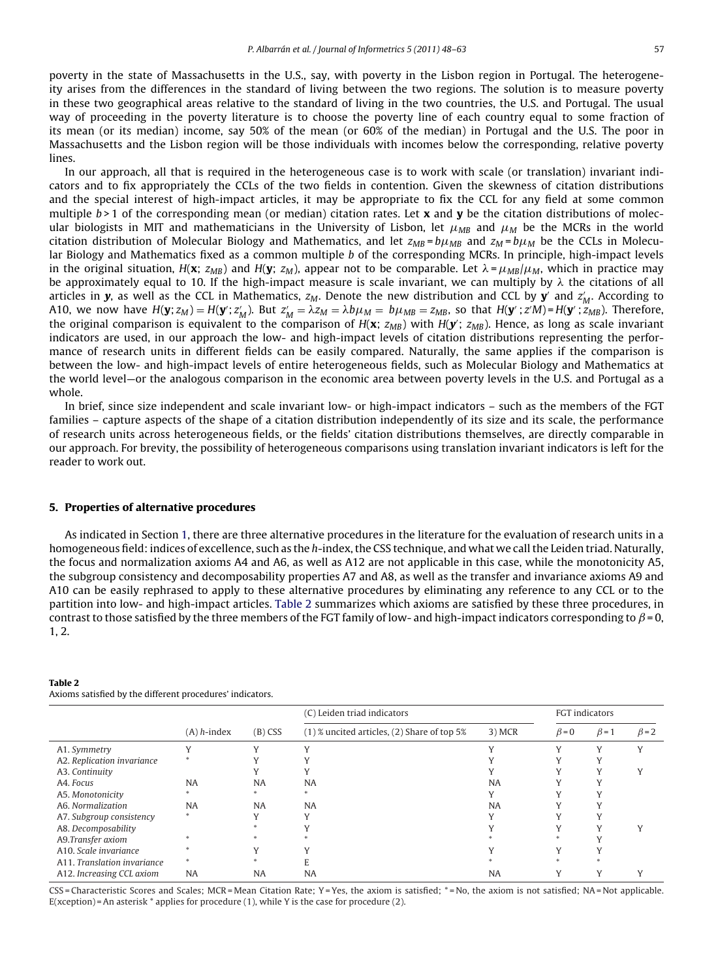<span id="page-9-0"></span>poverty in the state of Massachusetts in the U.S., say, with poverty in the Lisbon region in Portugal. The heterogeneity arises from the differences in the standard of living between the two regions. The solution is to measure poverty in these two geographical areas relative to the standard of living in the two countries, the U.S. and Portugal. The usual way of proceeding in the poverty literature is to choose the poverty line of each country equal to some fraction of its mean (or its median) income, say 50% of the mean (or 60% of the median) in Portugal and the U.S. The poor in Massachusetts and the Lisbon region will be those individuals with incomes below the corresponding, relative poverty lines.

In our approach, all that is required in the heterogeneous case is to work with scale (or translation) invariant indicators and to fix appropriately the CCLs of the two fields in contention. Given the skewness of citation distributions and the special interest of high-impact articles, it may be appropriate to fix the CCL for any field at some common multiple  $b > 1$  of the corresponding mean (or median) citation rates. Let **x** and **y** be the citation distributions of molecular biologists in MIT and mathematicians in the University of Lisbon, let  $\mu_{MB}$  and  $\mu_M$  be the MCRs in the world<br>citation distribution of Molecular Biology and Mathematics, and let  $z_{\rm{tot}}$  and  $z_{\rm{tot}}$  by the foll citation distribution of Molecular Biology and Mathematics, and let  $z_{MB} = b\mu_{MB}$  and  $z_M = b\mu_M$  be the CCLs in Molecu-<br>Lar Biology and Mathematics fixed as a common multiple b of the corresponding MCPs. In principle, bigh lar Biology and Mathematics fixed as a common multiple  $b$  of the corresponding MCRs. In principle, high-impact levels in the original situation,  $H(\mathbf{x}; z_{MB})$  and  $H(\mathbf{y}; z_M)$ , appear not to be comparable. Let  $\lambda = \mu_{MB}/\mu_M$ , which in practice may<br>be approximately equal to 10. If the bigh-impact measure is scale invariant, we can multiply be approximately equal to 10. If the high-impact measure is scale invariant, we can multiply by  $\lambda$  the citations of all articles in **y**, as well as the CCL in Mathematics,  $z_M$ . Denote the new distribution and CCL by **y**' and  $z'_M$ . According to A10, we now have  $H(\mathbf{v} : z_M) - H(\mathbf{v} : z' \cap \Sigma)$  But  $z' = \lambda z_M - \lambda h u_M = h u_{MN} - z_{MN}$  so that  $H(\mathbf{v} :$ A10, we now have  $H(\mathbf{y}; z_M) = H(\mathbf{y}'; z'_M)$ . But  $z'_M = \lambda z_M = \lambda b \mu_M = b \mu_{MB} = z_{MB}$ , so that  $H(\mathbf{y}'; z'M) = H(\mathbf{y}'; z_M)$ . Therefore, the original comparison is equivalent to the comparison of  $H(\mathbf{x}'; z_M)$  with  $H(\mathbf{y}'; z_M)$ . Henc the original comparison is equivalent to the comparison of  $H(\mathbf{x}; z_{MB})$  with  $H(\mathbf{y}'; z_{MB})$ . Hence, as long as scale invariant<br>indicators are used in our approach the low, and high impact levels of citation distributions indicators are used, in our approach the low- and high-impact levels of citation distributions representing the performance of research units in different fields can be easily compared. Naturally, the same applies if the comparison is between the low- and high-impact levels of entire heterogeneous fields, such as Molecular Biology and Mathematics at the world level—or the analogous comparison in the economic area between poverty levels in the U.S. and Portugal as a whole.

In brief, since size independent and scale invariant low- or high-impact indicators – such as the members of the FGT families – capture aspects of the shape of a citation distribution independently of its size and its scale, the performance of research units across heterogeneous fields, or the fields' citation distributions themselves, are directly comparable in our approach. For brevity, the possibility of heterogeneous comparisons using translation invariant indicators is left for the reader to work out.

# **5. Properties of alternative procedures**

As indicated in Section [1, t](#page-0-0)here are three alternative procedures in the literature for the evaluation of research units in a homogeneous field: indices of excellence, such as the h-index, the CSS technique, and what we call the Leiden triad. Naturally, the focus and normalization axioms A4 and A6, as well as A12 are not applicable in this case, while the monotonicity A5, the subgroup consistency and decomposability properties A7 and A8, as well as the transfer and invariance axioms A9 and A10 can be easily rephrased to apply to these alternative procedures by eliminating any reference to any CCL or to the partition into low- and high-impact articles. Table 2 summarizes which axioms are satisfied by these three procedures, in contrast to those satisfied by the three members of the FGT family of low- and high-impact indicators corresponding to  $\beta$  = 0, 1, 2.

#### **Table 2**

Axioms satisfied by the different procedures' indicators.

|                             |               |           | (C) Leiden triad indicators                     |           | FGT indicators |             |             |
|-----------------------------|---------------|-----------|-------------------------------------------------|-----------|----------------|-------------|-------------|
|                             | $(A)$ h-index | $(B)$ CSS | $(1)$ % uncited articles, $(2)$ Share of top 5% | 3) MCR    | $\beta = 0$    | $\beta$ = 1 | $\beta$ = 2 |
| A1. Symmetry                |               |           |                                                 |           |                |             |             |
| A2. Replication invariance  |               |           |                                                 |           |                |             |             |
| A3. Continuity              |               |           |                                                 |           |                |             |             |
| A4. Focus                   | <b>NA</b>     | <b>NA</b> | <b>NA</b>                                       | <b>NA</b> |                |             |             |
| A5. Monotonicity            |               |           |                                                 |           |                |             |             |
| A6. Normalization           | <b>NA</b>     | <b>NA</b> | <b>NA</b>                                       | <b>NA</b> |                |             |             |
| A7. Subgroup consistency    |               |           |                                                 |           |                |             |             |
| A8. Decomposability         |               |           |                                                 |           |                |             |             |
| A9.Transfer axiom           |               |           |                                                 |           |                |             |             |
| A10. Scale invariance       |               |           |                                                 |           |                |             |             |
| A11. Translation invariance |               |           |                                                 |           |                |             |             |
| A12. Increasing CCL axiom   | <b>NA</b>     | <b>NA</b> | NA                                              | <b>NA</b> |                |             |             |

CSS = Characteristic Scores and Scales; MCR = Mean Citation Rate; Y = Yes, the axiom is satisfied; \* = No, the axiom is not satisfied; NA = Not applicable.  $E(xception) = An asterisk * applies for procedure (1), while Y is the case for procedure (2).$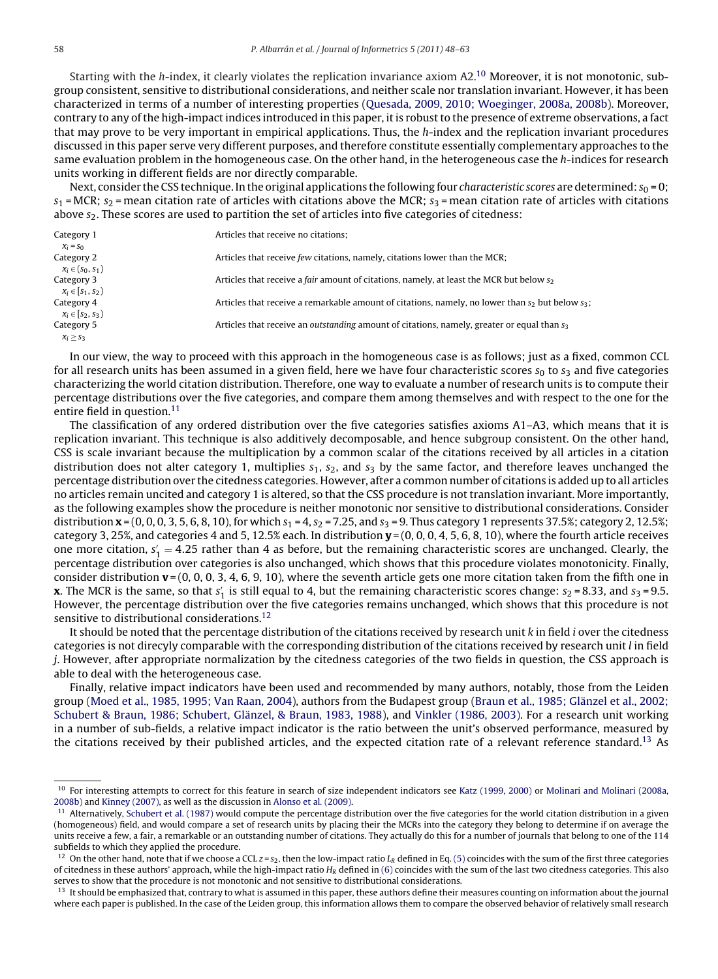Starting with the h-index, it clearly violates the replication invariance axiom  $A2$ .<sup>10</sup> Moreover, it is not monotonic, subgroup consistent, sensitive to distributional considerations, and neither scale nor translation invariant. However, it has been characterized in terms of a number of interesting properties ([Quesada, 2009, 2010; Woeginger, 2008a, 2008b\).](#page-15-0) Moreover, contrary to any of the high-impact indices introduced in this paper, it is robust to the presence of extreme observations, a fact that may prove to be very important in empirical applications. Thus, the h-index and the replication invariant procedures discussed in this paper serve very different purposes, and therefore constitute essentially complementary approaches to the same evaluation problem in the homogeneous case. On the other hand, in the heterogeneous case the h-indices for research units working in different fields are nor directly comparable.

Next, consider the CSS technique. In the original applications the following four *characteristic scores* are determined:  $s_0 = 0$ ;  $s_1$  = MCR;  $s_2$  = mean citation rate of articles with citations above the MCR;  $s_3$  = mean citation rate of articles with citations above  $s<sub>2</sub>$ . These scores are used to partition the set of articles into five categories of citedness:

| Category 1                         | Articles that receive no citations;                                                                   |  |  |  |
|------------------------------------|-------------------------------------------------------------------------------------------------------|--|--|--|
| $x_i = s_0$                        |                                                                                                       |  |  |  |
| Category 2<br>$x_i \in (s_0, s_1)$ | Articles that receive few citations, namely, citations lower than the MCR;                            |  |  |  |
| Category 3<br>$x_i \in [s_1, s_2)$ | Articles that receive a fair amount of citations, namely, at least the MCR but below $s_2$            |  |  |  |
| Category 4<br>$X_i \in [S_2, S_3)$ | Articles that receive a remarkable amount of citations, namely, no lower than $s_2$ but below $s_3$ ; |  |  |  |
| Category 5                         | Articles that receive an <i>outstanding</i> amount of citations, namely, greater or equal than $s_3$  |  |  |  |
| $X_i \geq S_3$                     |                                                                                                       |  |  |  |

In our view, the way to proceed with this approach in the homogeneous case is as follows; just as a fixed, common CCL for all research units has been assumed in a given field, here we have four characteristic scores  $s_0$  to  $s_3$  and five categories characterizing the world citation distribution. Therefore, one way to evaluate a number of research units is to compute their percentage distributions over the five categories, and compare them among themselves and with respect to the one for the entire field in question.<sup>11</sup>

The classification of any ordered distribution over the five categories satisfies axioms A1–A3, which means that it is replication invariant. This technique is also additively decomposable, and hence subgroup consistent. On the other hand, CSS is scale invariant because the multiplication by a common scalar of the citations received by all articles in a citation distribution does not alter category 1, multiplies  $s_1$ ,  $s_2$ , and  $s_3$  by the same factor, and therefore leaves unchanged the percentage distribution over the citedness categories. However, after a common number of citations is added up to all articles no articles remain uncited and category 1 is altered, so that the CSS procedure is not translation invariant. More importantly, as the following examples show the procedure is neither monotonic nor sensitive to distributional considerations. Consider distribution **x** = (0, 0, 0, 3, 5, 6, 8, 10), for which  $s_1 = 4$ ,  $s_2 = 7.25$ , and  $s_3 = 9$ . Thus category 1 represents 37.5%; category 2, 12.5%; category 3, 25%, and categories 4 and 5, 12.5% each. In distribution **y** = (0, 0, 0, 4, 5, 6, 8, 10), where the fourth article receives one more citation,  $s'_1 = 4.25$  rather than 4 as before, but the remaining characteristic scores are unchanged. Clearly, the procedure violates monotonicity Finally percentage distribution over categories is also unchanged, which shows that this procedure violates monotonicity. Finally, consider distribution  $\mathbf{v} = (0, 0, 0, 3, 4, 6, 9, 10)$ , where the seventh article gets one more citation taken from the fifth one in **x**. The MCR is the same, so that  $s'_1$  is still equal to 4, but the remaining characteristic scores change:  $s_2$  = 8.33, and  $s_3$  = 9.5.<br>However, the percentage distribution over the five categories remains unchanged, However, the percentage distribution over the five categories remains unchanged, which shows that this procedure is not sensitive to distributional considerations.12

It should be noted that the percentage distribution of the citations received by research unit  $k$  in field  $i$  over the citedness categories is not direcyly comparable with the corresponding distribution of the citations received by research unit l in field j. However, after appropriate normalization by the citedness categories of the two fields in question, the CSS approach is able to deal with the heterogeneous case.

Finally, relative impact indicators have been used and recommended by many authors, notably, those from the Leiden group ([Moed et al., 1985, 1995; Van Raan, 2004\),](#page-15-0) authors from the Budapest group [\(Braun et al., 1985; Glänzel et al., 2002;](#page-14-0) [Schubert & Braun, 1986; Schubert, Glänzel, & Braun, 1983, 1988\),](#page-14-0) and [Vinkler \(1986, 2003\). F](#page-15-0)or a research unit working in a number of sub-fields, a relative impact indicator is the ratio between the unit's observed performance, measured by the citations received by their published articles, and the expected citation rate of a relevant reference standard.<sup>13</sup> As

<sup>&</sup>lt;sup>10</sup> For interesting attempts to correct for this feature in search of size independent indicators see [Katz \(1999, 2000\)](#page-15-0) or [Molinari and Molinari \(2008a,](#page-15-0) [2008b\)](#page-15-0) and [Kinney \(2007\), a](#page-15-0)s well as the discussion in [Alonso et al](#page-14-0). [\(2009\).](#page-14-0)

<sup>&</sup>lt;sup>11</sup> Alternatively, [Schubert et al. \(1987\)](#page-15-0) would compute the percentage distribution over the five categories for the world citation distribution in a given (homogeneous) field, and would compare a set of research units by placing their the MCRs into the category they belong to determine if on average the units receive a few, a fair, a remarkable or an outstanding number of citations. They actually do this for a number of journals that belong to one of the 114 subfields to which they applied the procedure.

<sup>&</sup>lt;sup>12</sup> On the other hand, note that if we choose a CCL  $z = s<sub>2</sub>$ , then the low-impact ratio L<sub>R</sub> defined in Eq. [\(5\)](#page-7-0) coincides with the sum of the first three categories of citedness in these authors' approach, while the high-impact ratio  $H_R$  defined in [\(6\)](#page-7-0) coincides with the sum of the last two citedness categories. This also serves to show that the procedure is not monotonic and not sensitive to distributional considerations.

<sup>&</sup>lt;sup>13</sup> It should be emphasized that, contrary to what is assumed in this paper, these authors define their measures counting on information about the journal where each paper is published. In the case of the Leiden group, this information allows them to compare the observed behavior of relatively small research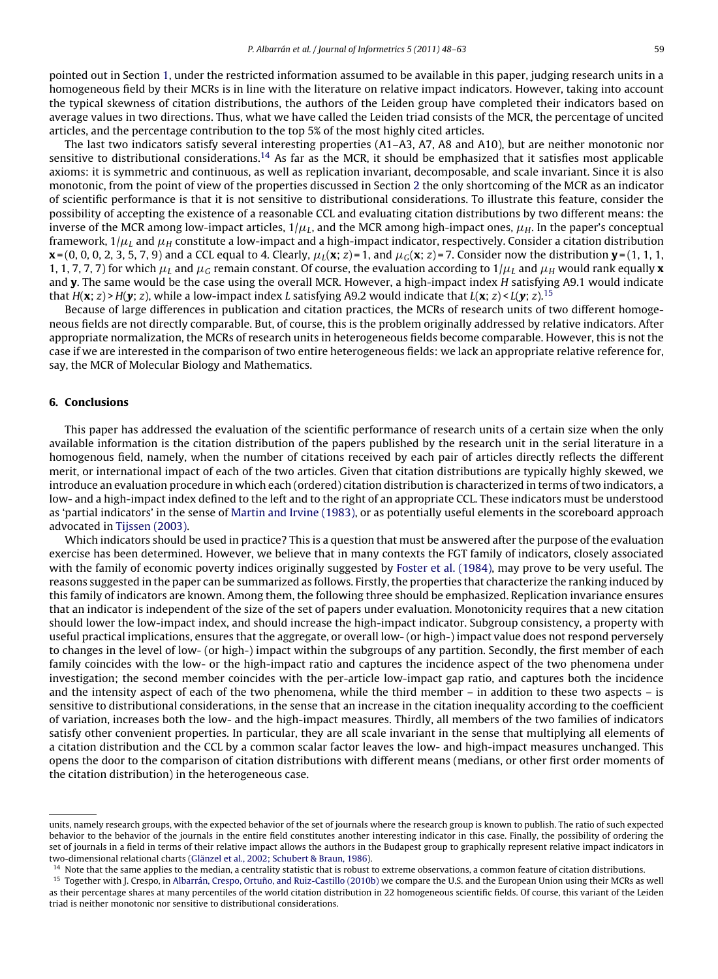<span id="page-11-0"></span>pointed out in Section [1, u](#page-0-0)nder the restricted information assumed to be available in this paper, judging research units in a homogeneous field by their MCRs is in line with the literature on relative impact indicators. However, taking into account the typical skewness of citation distributions, the authors of the Leiden group have completed their indicators based on average values in two directions. Thus, what we have called the Leiden triad consists of the MCR, the percentage of uncited articles, and the percentage contribution to the top 5% of the most highly cited articles.

The last two indicators satisfy several interesting properties (A1–A3, A7, A8 and A10), but are neither monotonic nor sensitive to distributional considerations.<sup>14</sup> As far as the MCR, it should be emphasized that it satisfies most applicable axioms: it is symmetric and continuous, as well as replication invariant, decomposable, and scale invariant. Since it is also monotonic, from the point of view of the properties discussed in Section [2](#page-2-0) the only shortcoming of the MCR as an indicator of scientific performance is that it is not sensitive to distributional considerations. To illustrate this feature, consider the possibility of accepting the existence of a reasonable CCL and evaluating citation distributions by two different means: the inverse of the MCR among low-impact articles,  $1/\mu_L$ , and the MCR among high-impact ones,  $\mu_H$ . In the paper's conceptual<br>framework  $1/\mu_L$  and  $\mu_L$  constitute a low-impact and a bigh-impact indicator, respectively. Cons framework,  $1/\mu_L$  and  $\mu_H$  constitute a low-impact and a high-impact indicator, respectively. Consider a citation distribution<br> $\mathbf{v} = (0, 0, 0, 2, 3, 5, 7, 0)$  and a CCL equal to 4. Clearly,  $\mu_L(\mathbf{v}; z) = 1$  and  $\mu_L(\mathbf$ **<sup>x</sup>** = (0, 0, 0, 2, 3, 5, 7, 9) and a CCL equal to 4. Clearly, -<sup>L</sup>(**x**; <sup>z</sup>) = 1, and -<sup>G</sup>(**x**; z) = 7. Consider now the distribution **y** = (1, 1, 1, 1, 1, 7, 7, 7) for which  $\mu_L$  and  $\mu_G$  remain constant. Of course, the evaluation according to  $1/\mu_L$  and  $\mu_H$  would rank equally **x**<br>and **y** The same would be the case using the overall MCR. However, a bigh-impact ind and **y**. The same would be the case using the overall MCR. However, a high-impact index H satisfying A9.1 would indicate that  $H(\mathbf{x}; z) > H(\mathbf{y}; z)$ , while a low-impact index L satisfying A9.2 would indicate that  $L(\mathbf{x}; z) < L(\mathbf{y}; z)$ .<sup>15</sup>

Because of large differences in publication and citation practices, the MCRs of research units of two different homogeneous fields are not directly comparable. But, of course, this is the problem originally addressed by relative indicators. After appropriate normalization, the MCRs of research units in heterogeneous fields become comparable. However, this is not the case if we are interested in the comparison of two entire heterogeneous fields: we lack an appropriate relative reference for, say, the MCR of Molecular Biology and Mathematics.

## **6. Conclusions**

This paper has addressed the evaluation of the scientific performance of research units of a certain size when the only available information is the citation distribution of the papers published by the research unit in the serial literature in a homogenous field, namely, when the number of citations received by each pair of articles directly reflects the different merit, or international impact of each of the two articles. Given that citation distributions are typically highly skewed, we introduce an evaluation procedure in which each (ordered) citation distribution is characterized in terms of two indicators, a low- and a high-impact index defined to the left and to the right of an appropriate CCL. These indicators must be understood as 'partial indicators' in the sense of [Martin and Irvine \(1983\), o](#page-15-0)r as potentially useful elements in the scoreboard approach advocated in [Tijssen \(2003\).](#page-15-0)

Which indicators should be used in practice? This is a question that must be answered after the purpose of the evaluation exercise has been determined. However, we believe that in many contexts the FGT family of indicators, closely associated with the family of economic poverty indices originally suggested by [Foster et al. \(1984\), m](#page-14-0)ay prove to be very useful. The reasons suggested in the paper can be summarized as follows. Firstly, the properties that characterize the ranking induced by this family of indicators are known. Among them, the following three should be emphasized. Replication invariance ensures that an indicator is independent of the size of the set of papers under evaluation. Monotonicity requires that a new citation should lower the low-impact index, and should increase the high-impact indicator. Subgroup consistency, a property with useful practical implications, ensures that the aggregate, or overall low- (or high-) impact value does not respond perversely to changes in the level of low- (or high-) impact within the subgroups of any partition. Secondly, the first member of each family coincides with the low- or the high-impact ratio and captures the incidence aspect of the two phenomena under investigation; the second member coincides with the per-article low-impact gap ratio, and captures both the incidence and the intensity aspect of each of the two phenomena, while the third member – in addition to these two aspects – is sensitive to distributional considerations, in the sense that an increase in the citation inequality according to the coefficient of variation, increases both the low- and the high-impact measures. Thirdly, all members of the two families of indicators satisfy other convenient properties. In particular, they are all scale invariant in the sense that multiplying all elements of a citation distribution and the CCL by a common scalar factor leaves the low- and high-impact measures unchanged. This opens the door to the comparison of citation distributions with different means (medians, or other first order moments of the citation distribution) in the heterogeneous case.

units, namely research groups, with the expected behavior of the set of journals where the research group is known to publish. The ratio of such expected behavior to the behavior of the journals in the entire field constitutes another interesting indicator in this case. Finally, the possibility of ordering the set of journals in a field in terms of their relative impact allows the authors in the Budapest group to graphically represent relative impact indicators in two-dimensional relational charts [\(Glänzel et al](#page-14-0).[, 2002; Schubert & Braun, 1986\).](#page-14-0)

<sup>&</sup>lt;sup>14</sup> Note that the same applies to the median, a centrality statistic that is robust to extreme observations, a common feature of citation distributions.

<sup>&</sup>lt;sup>15</sup> Together with J. Crespo, in Albarrán, Crespo, Ortuño, and Ruiz-Castillo (2010b) we compare the U.S. and the European Union using their MCRs as well as their percentage shares at many percentiles of the world citation distribution in 22 homogeneous scientific fields. Of course, this variant of the Leiden triad is neither monotonic nor sensitive to distributional considerations.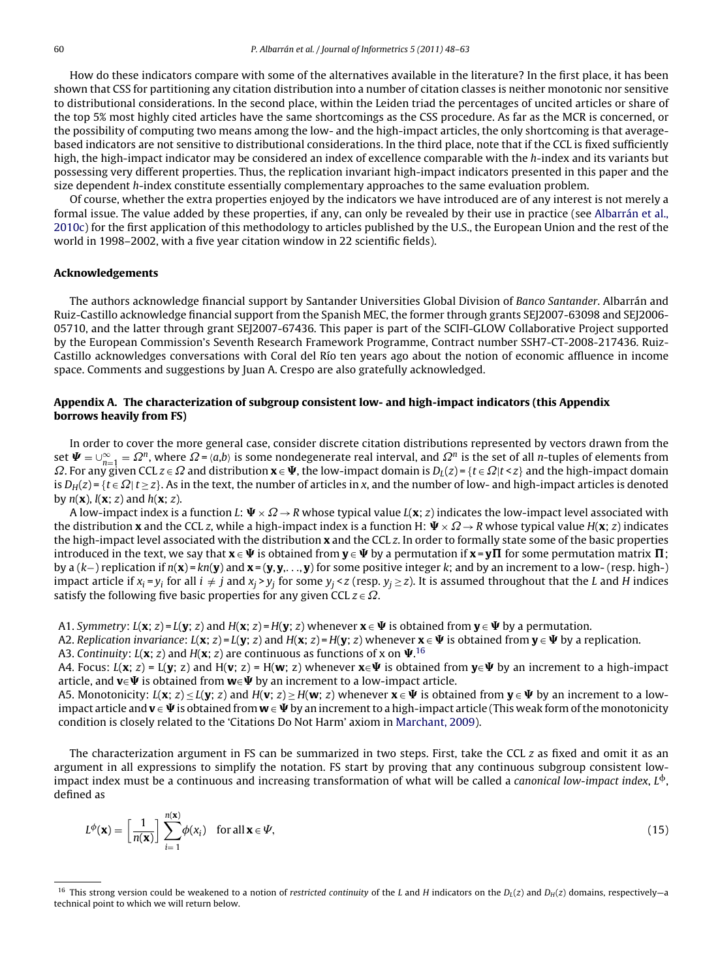<span id="page-12-0"></span>How do these indicators compare with some of the alternatives available in the literature? In the first place, it has been shown that CSS for partitioning any citation distribution into a number of citation classes is neither monotonic nor sensitive to distributional considerations. In the second place, within the Leiden triad the percentages of uncited articles or share of the top 5% most highly cited articles have the same shortcomings as the CSS procedure. As far as the MCR is concerned, or the possibility of computing two means among the low- and the high-impact articles, the only shortcoming is that averagebased indicators are not sensitive to distributional considerations. In the third place, note that if the CCL is fixed sufficiently high, the high-impact indicator may be considered an index of excellence comparable with the h-index and its variants but possessing very different properties. Thus, the replication invariant high-impact indicators presented in this paper and the size dependent h-index constitute essentially complementary approaches to the same evaluation problem.

Of course, whether the extra properties enjoyed by the indicators we have introduced are of any interest is not merely a formal issue. The value added by these properties, if any, can only be revealed by their use in practice (see [Albarrán et al.,](#page-14-0) [2010c\)](#page-14-0) for the first application of this methodology to articles published by the U.S., the European Union and the rest of the world in 1998–2002, with a five year citation window in 22 scientific fields).

#### **Acknowledgements**

The authors acknowledge financial support by Santander Universities Global Division of Banco Santander. Albarrán and Ruiz-Castillo acknowledge financial support from the Spanish MEC, the former through grants SEJ2007-63098 and SEJ2006- 05710, and the latter through grant SEJ2007-67436. This paper is part of the SCIFI-GLOW Collaborative Project supported by the European Commission's Seventh Research Framework Programme, Contract number SSH7-CT-2008-217436. Ruiz-Castillo acknowledges conversations with Coral del Río ten years ago about the notion of economic affluence in income space. Comments and suggestions by Juan A. Crespo are also gratefully acknowledged.

# **Appendix A. The characterization of subgroup consistent low- and high-impact indicators (this Appendix borrows heavily from FS)**

In order to cover the more general case, consider discrete citation distributions represented by vectors drawn from the set  $\Psi = \bigcup_{n=1}^{\infty} = \Omega^n$ , where  $\Omega = \langle a, b \rangle$  is some nondegenerate real interval, and  $\Omega^n$  is the set of all *n*-tuples of elements from  $\Omega$ . For any given CCL  $\zeta \in \Omega$  and distribution  $\mathbf{x} \in \Psi$  the low-impact do  $Ω$ . For any given CCL  $z \in Ω$  and distribution **x** ∈ **V**, the low-impact domain is  $D_L(z) = {t \in Ω|t < z}$  and the high-impact domain is  $D_H(z) = \{t \in \Omega | t \ge z\}$ . As in the text, the number of articles in x, and the number of low- and high-impact articles is denoted by  $n(\mathbf{x})$ ,  $l(\mathbf{x}; z)$  and  $h(\mathbf{x}; z)$ .

A low-impact index is a function L:  $\Psi \times \Omega \to \mathbb{R}$  whose typical value  $L(\mathbf{x}; z)$  indicates the low-impact level associated with the distribution **x** and the CCL z, while a high-impact index is a function H:  $\Psi \times \Omega \to R$  whose typical value H(**x**; z) indicates the high-impact level associated with the distribution **x** and the CCL z. In order to formally state some of the basic properties introduced in the text, we say that  $\mathbf{x} \in \Psi$  is obtained from  $\mathbf{y} \in \Psi$  by a permutation if  $\mathbf{x} = \mathbf{y} \Pi$  for some permutation matrix  $\Pi$ ; by a (k−) replication if <sup>n</sup>(**x**) = kn(**y**) and **<sup>x</sup>** = (**y**, **<sup>y</sup>**,..., **<sup>y</sup>**) for some positive integer <sup>k</sup>; and by an increment to a low- (resp. high-) impact article if  $x_i = y_i$  for all  $i \neq j$  and  $x_j > y_j$  for some  $y_j < z$  (resp.  $y_j \geq z$ ). It is assumed throughout that the L and H indices satisfy the following five basic properties for any given CCL  $z \in \Omega$ .

A1. Symmetry:  $L(\mathbf{x}; z) = L(\mathbf{y}; z)$  and  $H(\mathbf{x}; z) = H(\mathbf{y}; z)$  whenever  $\mathbf{x} \in \Psi$  is obtained from  $\mathbf{y} \in \Psi$  by a permutation.

A2. Replication invariance:  $L(\mathbf{x}; z) = L(\mathbf{y}; z)$  and  $H(\mathbf{x}; z) = H(\mathbf{y}; z)$  whenever  $\mathbf{x} \in \Psi$  is obtained from  $\mathbf{y} \in \Psi$  by a replication.

A3. Continuity:  $L(\mathbf{x}; z)$  and  $H(\mathbf{x}; z)$  are continuous as functions of x on  $\Psi$ .<sup>16</sup>

A4. Focus:  $L(\mathbf{x}; z) = L(\mathbf{y}; z)$  and  $H(\mathbf{v}; z) = H(\mathbf{w}; z)$  whenever  $\mathbf{x} \in \Psi$  is obtained from  $\mathbf{y} \in \Psi$  by an increment to a high-impact article, and **v**∈ $\Psi$  is obtained from **w**∈ $\Psi$  by an increment to a low-impact article.

A5. Monotonicity:  $L(\mathbf{x}; z) < L(\mathbf{y}; z)$  and  $H(\mathbf{v}; z) > H(\mathbf{w}; z)$  whenever  $\mathbf{x} \in \Psi$  is obtained from  $\mathbf{y} \in \Psi$  by an increment to a lowimpact article and **v** ∈ is obtained from **w** ∈ by an increment to a high-impact article (This weak form of the monotonicity condition is closely related to the 'Citations Do Not Harm' axiom in [Marchant, 2009\).](#page-15-0)

The characterization argument in FS can be summarized in two steps. First, take the CCL z as fixed and omit it as an argument in all expressions to simplify the notation. FS start by proving that any continuous subgroup consistent lowimpact index must be a continuous and increasing transformation of what will be called a *canonical low-impact index*,  $L^{\varphi}$ , defined as

$$
L^{\phi}(\mathbf{x}) = \left[\frac{1}{n(\mathbf{x})}\right] \sum_{i=1}^{n(\mathbf{x})} \phi(x_i) \quad \text{for all } \mathbf{x} \in \Psi,
$$
\n(15)

<sup>&</sup>lt;sup>16</sup> This strong version could be weakened to a notion of restricted continuity of the L and H indicators on the  $D_L(z)$  and  $D_H(z)$  domains, respectively—a technical point to which we will return below.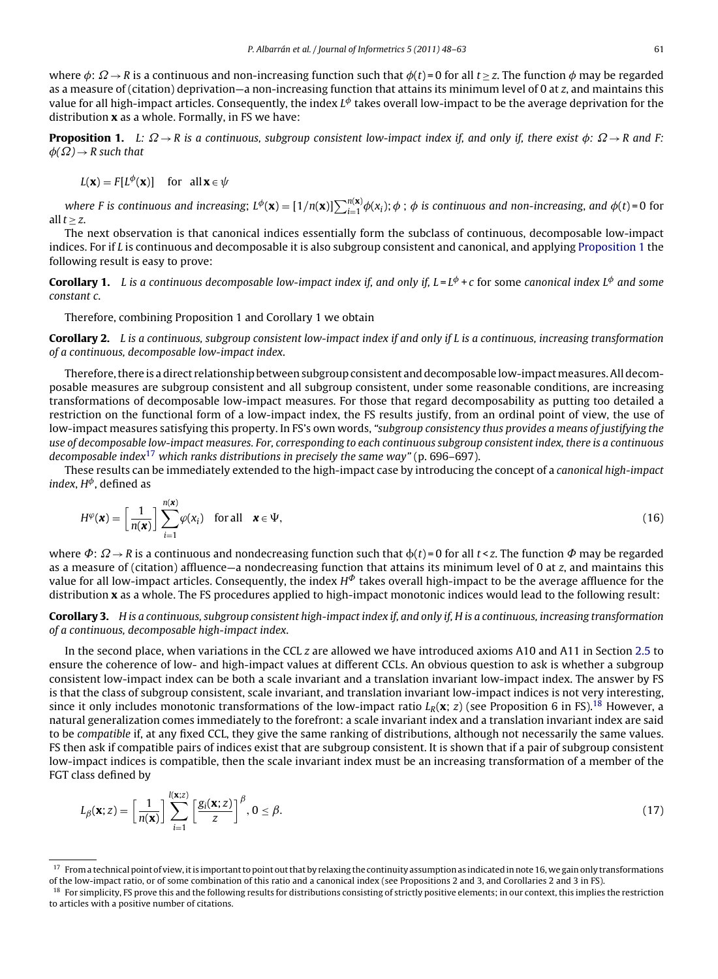<span id="page-13-0"></span>where  $\phi: \Omega \to R$  is a continuous and non-increasing function such that  $\phi(t) = 0$  for all  $t > z$ . The function  $\phi$  may be regarded as a measure of (citation) deprivation—a non-increasing function that attains its minimum level of 0 at z, and maintains this value for all high-impact articles. Consequently, the index  $L^\phi$  takes overall low-impact to be the average deprivation for the distribution **x** as a whole. Formally, in FS we have:

**Proposition 1.** L:  $\Omega \rightarrow R$  is a continuous, subgroup consistent low-impact index if, and only if, there exist  $\phi$ :  $\Omega \rightarrow R$  and F:  $\phi(\Omega) \rightarrow R$  such that

$$
L(\mathbf{x}) = F[L^{\phi}(\mathbf{x})] \quad \text{for all } \mathbf{x} \in \psi
$$

where F is continuous and increasing;  $L^\phi(\mathbf{x}) = [1/n(\mathbf{x})] \sum_{i=1}^{n(\mathbf{x})} \phi(x_i); \phi$  ;  $\phi$  is continuous and non-increasing, and  $\phi(t)$ =0 for all  $t > z$ .

The next observation is that canonical indices essentially form the subclass of continuous, decomposable low-impact indices. For if L is continuous and decomposable it is also subgroup consistent and canonical, and applying Proposition 1 the following result is easy to prove:

**Corollary 1.** L is a continuous decomposable low-impact index if, and only if,  $L = L^{\phi} + c$  for some canonical index  $L^{\phi}$  and some constant c.

Therefore, combining Proposition 1 and Corollary 1 we obtain

**Corollary 2.** L is a continuous, subgroup consistent low-impact index if and only if L is a continuous, increasing transformation of a continuous, decomposable low-impact index.

Therefore, there is a direct relationship between subgroup consistent and decomposable low-impact measures. All decomposable measures are subgroup consistent and all subgroup consistent, under some reasonable conditions, are increasing transformations of decomposable low-impact measures. For those that regard decomposability as putting too detailed a restriction on the functional form of a low-impact index, the FS results justify, from an ordinal point of view, the use of low-impact measures satisfying this property. In FS's own words, "subgroup consistency thus provides a means of justifying the use of decomposable low-impact measures. For, corresponding to each continuous subgroup consistent index, there is a continuous decomposable index<sup>17</sup> which ranks distributions in precisely the same way" (p. 696–697).

These results can be immediately extended to the high-impact case by introducing the concept of a canonical high-impact index,  $H^{\phi}$ , defined as

$$
H^{\varphi}(\mathbf{x}) = \left[\frac{1}{n(\mathbf{x})}\right] \sum_{i=1}^{n(\mathbf{x})} \varphi(x_i) \quad \text{for all} \quad \mathbf{x} \in \Psi,
$$
\n(16)

where  $\Phi: \Omega \to \mathbb{R}$  is a continuous and nondecreasing function such that  $\phi(t) = 0$  for all  $t \leq z$ . The function  $\Phi$  may be regarded as a measure of (citation) affluence—a nondecreasing function that attains its minimum level of 0 at z, and maintains this value for all low-impact articles. Consequently, the index  $H^{\Phi}$  takes overall high-impact to be the average affluence for the distribution **x** as a whole. The FS procedures applied to high-impact monotonic indices would lead to the following result:

**Corollary 3.** H is a continuous, subgroup consistent high-impact index if, and only if, H is a continuous, increasing transformation of a continuous, decomposable high-impact index.

In the second place, when variations in the CCL  $z$  are allowed we have introduced axioms A10 and A11 in Section [2.5](#page-6-0) to ensure the coherence of low- and high-impact values at different CCLs. An obvious question to ask is whether a subgroup consistent low-impact index can be both a scale invariant and a translation invariant low-impact index. The answer by FS is that the class of subgroup consistent, scale invariant, and translation invariant low-impact indices is not very interesting, since it only includes monotonic transformations of the low-impact ratio  $L_R(\mathbf{x}; z)$  (see Proposition 6 in FS).<sup>18</sup> However, a natural generalization comes immediately to the forefront: a scale invariant index and a translation invariant index are said to be compatible if, at any fixed CCL, they give the same ranking of distributions, although not necessarily the same values. FS then ask if compatible pairs of indices exist that are subgroup consistent. It is shown that if a pair of subgroup consistent low-impact indices is compatible, then the scale invariant index must be an increasing transformation of a member of the FGT class defined by

$$
L_{\beta}(\mathbf{x}; z) = \left[\frac{1}{n(\mathbf{x})}\right] \sum_{i=1}^{l(\mathbf{x}; z)} \left[\frac{g_i(\mathbf{x}; z)}{z}\right]^{\beta}, 0 \le \beta.
$$
 (17)

<sup>&</sup>lt;sup>17</sup> From a technical point of view, it is important to point out that by relaxing the continuity assumption as indicated in note 16, we gain only transformations of the low-impact ratio, or of some combination of this ratio and a canonical index (see Propositions 2 and 3, and Corollaries 2 and 3 in FS).

<sup>&</sup>lt;sup>18</sup> For simplicity, FS prove this and the following results for distributions consisting of strictly positive elements; in our context, this implies the restriction to articles with a positive number of citations.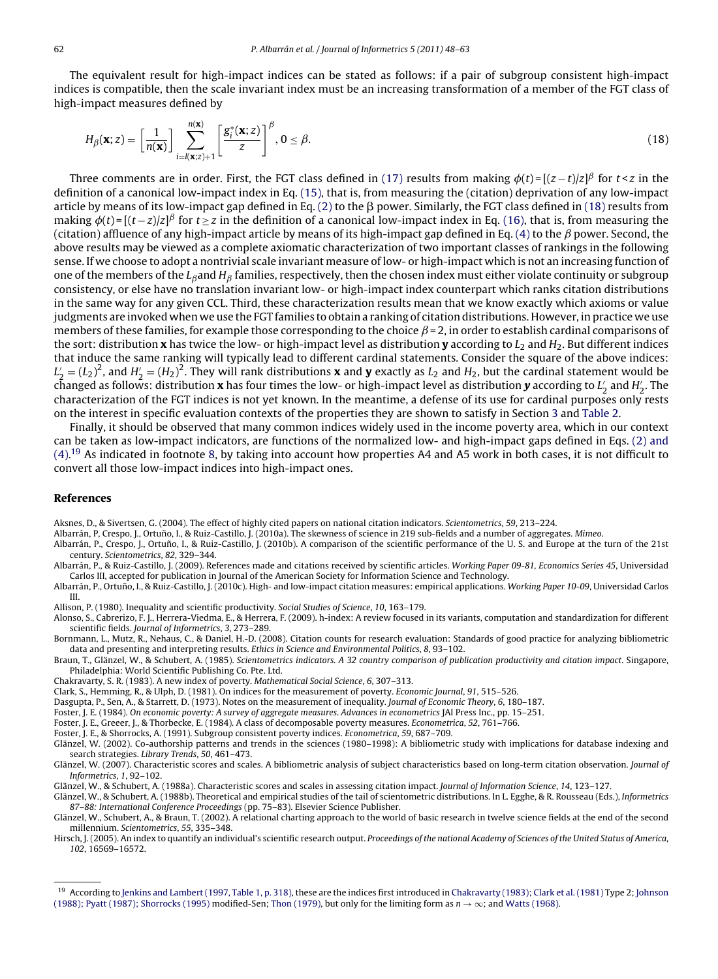<span id="page-14-0"></span>The equivalent result for high-impact indices can be stated as follows: if a pair of subgroup consistent high-impact indices is compatible, then the scale invariant index must be an increasing transformation of a member of the FGT class of high-impact measures defined by

$$
H_{\beta}(\mathbf{x}; z) = \left[\frac{1}{n(\mathbf{x})}\right] \sum_{i=l(\mathbf{x}; z)+1}^{n(\mathbf{x})} \left[\frac{g_i^*(\mathbf{x}; z)}{z}\right]^{\beta}, 0 \le \beta.
$$
 (18)

Three comments are in order. First, the FGT class defined in [\(17\)](#page-13-0) results from making  $\phi(t) = [(z-t)/z]^{\beta}$  for  $t < z$  in the definition of a canonical low-impact index in Eq. [\(15\), t](#page-12-0)hat is, from measuring the (citation) deprivation of any low-impact article by means of its low-impact gap defined in Eq. [\(2\)](#page-2-0) to the  $\beta$  power. Similarly, the FGT class defined in (18) results from making  $\phi(t) = [(t - z)/z]^{\beta}$  for  $t \ge z$  in the definition of a canonical low-impact index in Eq. [\(16\), t](#page-13-0)hat is, from measuring the (citation) affluence of any high-impact article by means of its high-impact gap defined in Eq. [\(4\)](#page-2-0) to the  $\beta$  power. Second, the above results may be viewed as a complete axiomatic characterization of two important classes of rankings in the following sense. If we choose to adopt a nontrivial scale invariant measure of low- or high-impact which is not an increasing function of one of the members of the  $L_\beta$ and  $H_\beta$  families, respectively, then the chosen index must either violate continuity or subgroup<br>consistency, or else have no translation invariant low, or high-impact index counterpart wh consistency, or else have no translation invariant low- or high-impact index counterpart which ranks citation distributions in the same way for any given CCL. Third, these characterization results mean that we know exactly which axioms or value judgments are invoked when we use the FGT families to obtain a ranking of citation distributions. However, in practice we use members of these families, for example those corresponding to the choice  $\beta$  = 2, in order to establish cardinal comparisons of the sort: distribution **x** has twice the low- or high-impact level as distribution **y** according to  $L_2$  and  $H_2$ . But different indices that induce the same ranking will typically lead to different cardinal statements. Consider the square of the above indices:  $L'_2 = (L_2)^2$ , and  $H'_2 = (H_2)^2$ . They will rank distributions **x** and **y** exactly as  $L_2$  and  $H_2$ , but the cardinal statement would be<br>changed as follows: distribution **x** has four times the low- or high-impact level as changed as follows: distribution **x** has four times the low- or high-impact level as distribution **y** according to  $L_2$  and  $H_2$ . The<br>characterization of the ECT indices is not vet known. In the meantime, a defense of it characterization of the FGT indices is not yet known. In the meantime, a defense of its use for cardinal purposes only rests on the interest in specific evaluation contexts of the properties they are shown to satisfy in Section [3](#page-7-0) and [Table 2.](#page-9-0)

Finally, it should be observed that many common indices widely used in the income poverty area, which in our context can be taken as low-impact indicators, are functions of the normalized low- and high-impact gaps defined in Eqs. [\(2\) and](#page-2-0)  $(4).$ <sup>19</sup> As indicated in footnote [8, b](#page-8-0)y taking into account how properties A4 and A5 work in both cases, it is not difficult to convert all those low-impact indices into high-impact ones.

#### **References**

Aksnes, D., & Sivertsen, G. (2004). The effect of highly cited papers on national citation indicators. Scientometrics, 59, 213–224.

Albarrán, P, Crespo, J., Ortuño, I., & Ruiz-Castillo, J. (2010a). The skewness of science in 219 sub-fields and a number of aggregates. Mimeo.

- Albarrán, P., Crespo, J., Ortuño, I., & Ruiz-Castillo, J. (2010b). A comparison of the scientific performance of the U. S. and Europe at the turn of the 21st century. Scientometrics, 82, 329–344.
- Albarrán, P., & Ruiz-Castillo, J. (2009). References made and citations received by scientific articles. Working Paper 09-81, Economics Series 45, Universidad Carlos III, accepted for publication in Journal of the American Society for Information Science and Technology.
- Albarrán, P., Ortuño, I., & Ruiz-Castillo, J. (2010c). High- and low-impact citation measures: empirical applications. Working Paper 10-09, Universidad Carlos III.

Allison, P. (1980). Inequality and scientific productivity. Social Studies of Science, 10, 163–179.

Alonso, S., Cabrerizo, F. J., Herrera-Viedma, E., & Herrera, F. (2009). h-index: A review focused in its variants, computation and standardization for different scientific fields. Journal of Informetrics, 3, 273–289.

Bornmann, L., Mutz, R., Nehaus, C., & Daniel, H.-D. (2008). Citation counts for research evaluation: Standards of good practice for analyzing bibliometric data and presenting and interpreting results. Ethics in Science and Environmental Politics, 8, 93–102.

Braun, T., Glänzel, W., & Schubert, A. (1985). Scientometrics indicators. A 32 country comparison of publication productivity and citation impact. Singapore, Philadelphia: World Scientific Publishing Co. Pte. Ltd.

Clark, S., Hemming, R., & Ulph, D. (1981). On indices for the measurement of poverty. Economic Journal, 91, 515–526.

Dasgupta, P., Sen, A., & Starrett, D. (1973). Notes on the measurement of inequality. Journal of Economic Theory, 6, 180–187.

Foster, J. E. (1984). On economic poverty: A survey of aggregate measures. Advances in econometrics JAI Press Inc., pp. 15–251.

Foster, J. E., Greeer, J., & Thorbecke, E. (1984). A class of decomposable poverty measures. Econometrica, 52, 761–766.

Foster, J. E., & Shorrocks, A. (1991). Subgroup consistent poverty indices. Econometrica, 59, 687–709.

Glänzel, W. (2002). Co-authorship patterns and trends in the sciences (1980–1998): A bibliometric study with implications for database indexing and search strategies. Library Trends, 50, 461–473.

Glänzel, W. (2007). Characteristic scores and scales. A bibliometric analysis of subject characteristics based on long-term citation observation. Journal of Informetrics, 1, 92–102.

Glänzel, W., & Schubert, A. (1988a). Characteristic scores and scales in assessing citation impact. Journal of Information Science, 14, 123–127.

Glänzel, W., & Schubert, A. (1988b). Theoretical and empirical studies of the tail of scientometric distributions. In L. Egghe, & R. Rousseau (Eds.), Informetrics 87–88: International Conference Proceedings (pp. 75–83). Elsevier Science Publisher.

Glänzel, W., Schubert, A., & Braun, T. (2002). A relational charting approach to the world of basic research in twelve science fields at the end of the second millennium. Scientometrics, 55, 335–348.

Hirsch, J. (2005). An index to quantify an individual's scientific research output. Proceedings of the national Academy of Sciences of the United Status of America, 102, 16569–16572.

Chakravarty, S. R. (1983). A new index of poverty. Mathematical Social Science, 6, 307–313.

<sup>19</sup> According to [Jenkins and Lambert \(1997, Table 1, p. 318\), t](#page-15-0)hese are the indices first introduced in Chakravarty (1983); Clark et al. (1981) Type 2; [Johnson](#page-15-0) [\(1988\); Pyatt \(1987\); Shorrocks \(1995\)](#page-15-0) modified-Sen; [Thon \(1979\), b](#page-15-0)ut only for the limiting form as  $n \to \infty$ ; and [Watts \(1968\).](#page-15-0)